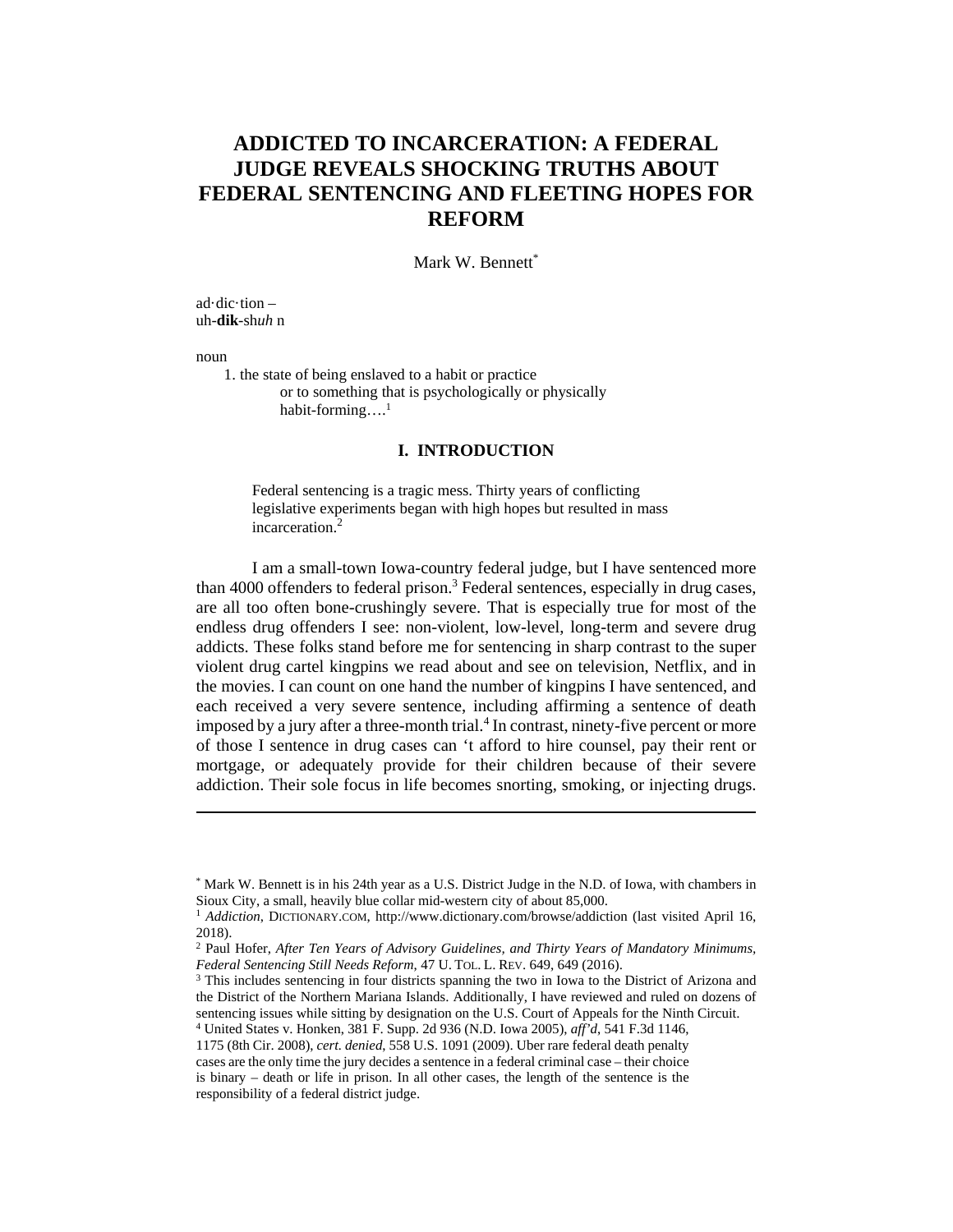# **ADDICTED TO INCARCERATION: A FEDERAL JUDGE REVEALS SHOCKING TRUTHS ABOUT FEDERAL SENTENCING AND FLEETING HOPES FOR REFORM**

Mark W. Bennett<sup>\*</sup>

ad·dic·tion  $$ uh-**dik**-sh*uh* n

noun

 $\overline{a}$ 

1. the state of being enslaved to a habit or practice or to something that is psychologically or physically habit-forming....<sup>1</sup>

#### **I. INTRODUCTION**

Federal sentencing is a tragic mess. Thirty years of conflicting legislative experiments began with high hopes but resulted in mass incarceration.2

I am a small-town Iowa-country federal judge, but I have sentenced more than 4000 offenders to federal prison.<sup>3</sup> Federal sentences, especially in drug cases, are all too often bone-crushingly severe. That is especially true for most of the endless drug offenders I see: non-violent, low-level, long-term and severe drug addicts. These folks stand before me for sentencing in sharp contrast to the super violent drug cartel kingpins we read about and see on television, Netflix, and in the movies. I can count on one hand the number of kingpins I have sentenced, and each received a very severe sentence, including affirming a sentence of death imposed by a jury after a three-month trial.<sup>4</sup> In contrast, ninety-five percent or more of those I sentence in drug cases can 't afford to hire counsel, pay their rent or mortgage, or adequately provide for their children because of their severe addiction. Their sole focus in life becomes snorting, smoking, or injecting drugs.

<sup>\*</sup> Mark W. Bennett is in his 24th year as a U.S. District Judge in the N.D. of Iowa, with chambers in Sioux City, a small, heavily blue collar mid-western city of about 85,000. 1 *Addiction*, DICTIONARY.COM, http://www.dictionary.com/browse/addiction (last visited April 16,

<sup>2018).</sup> 

<sup>2</sup> Paul Hofer, *After Ten Years of Advisory Guidelines, and Thirty Years of Mandatory Minimums, Federal Sentencing Still Needs Reform*, 47 U. TOL. L. REV. 649, 649 (2016). <sup>3</sup> This includes sentencing in four districts spanning the two in Iowa to the District of Arizona and

the District of the Northern Mariana Islands. Additionally, I have reviewed and ruled on dozens of sentencing issues while sitting by designation on the U.S. Court of Appeals for the Ninth Circuit. 4 United States v. Honken, 381 F. Supp. 2d 936 (N.D. Iowa 2005), *aff'd*, 541 F.3d 1146,

<sup>1175 (8</sup>th Cir. 2008), *cert. denied*, 558 U.S. 1091 (2009). Uber rare federal death penalty

cases are the only time the jury decides a sentence in a federal criminal case – their choice is binary – death or life in prison. In all other cases, the length of the sentence is the responsibility of a federal district judge.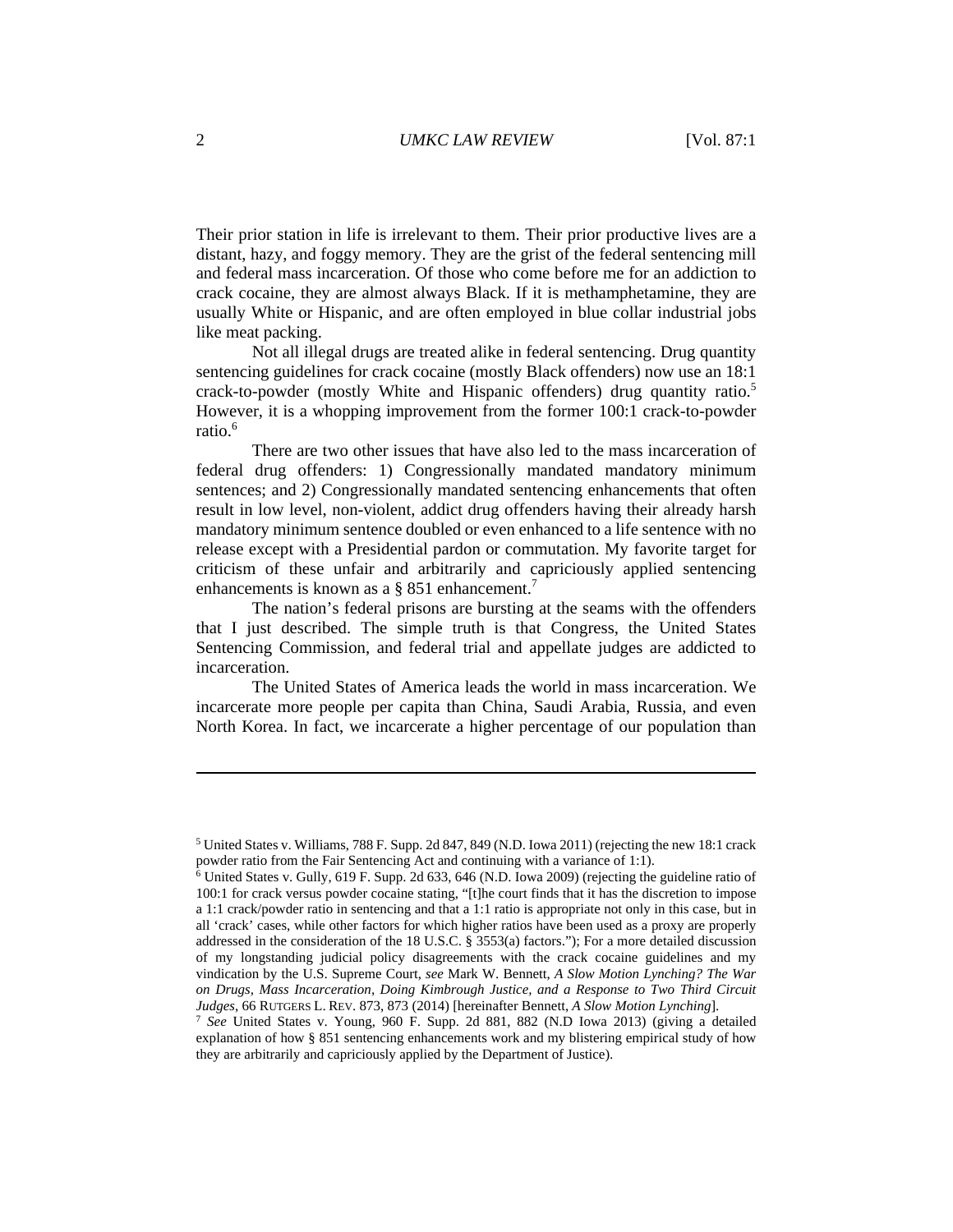Their prior station in life is irrelevant to them. Their prior productive lives are a distant, hazy, and foggy memory. They are the grist of the federal sentencing mill and federal mass incarceration. Of those who come before me for an addiction to crack cocaine, they are almost always Black. If it is methamphetamine, they are usually White or Hispanic, and are often employed in blue collar industrial jobs like meat packing.

Not all illegal drugs are treated alike in federal sentencing. Drug quantity sentencing guidelines for crack cocaine (mostly Black offenders) now use an 18:1 crack-to-powder (mostly White and Hispanic offenders) drug quantity ratio.<sup>5</sup> However, it is a whopping improvement from the former 100:1 crack-to-powder ratio.<sup>6</sup>

There are two other issues that have also led to the mass incarceration of federal drug offenders: 1) Congressionally mandated mandatory minimum sentences; and 2) Congressionally mandated sentencing enhancements that often result in low level, non-violent, addict drug offenders having their already harsh mandatory minimum sentence doubled or even enhanced to a life sentence with no release except with a Presidential pardon or commutation. My favorite target for criticism of these unfair and arbitrarily and capriciously applied sentencing enhancements is known as a  $\S 851$  enhancement.<sup>7</sup>

The nation's federal prisons are bursting at the seams with the offenders that I just described. The simple truth is that Congress, the United States Sentencing Commission, and federal trial and appellate judges are addicted to incarceration.

The United States of America leads the world in mass incarceration. We incarcerate more people per capita than China, Saudi Arabia, Russia, and even North Korea. In fact, we incarcerate a higher percentage of our population than

<sup>5</sup> United States v. Williams, 788 F. Supp. 2d 847, 849 (N.D. Iowa 2011) (rejecting the new 18:1 crack powder ratio from the Fair Sentencing Act and continuing with a variance of 1:1). 6 United States v. Gully, 619 F. Supp. 2d 633, 646 (N.D. Iowa 2009) (rejecting the guideline ratio of

<sup>100:1</sup> for crack versus powder cocaine stating, "[t]he court finds that it has the discretion to impose a 1:1 crack/powder ratio in sentencing and that a 1:1 ratio is appropriate not only in this case, but in all 'crack' cases, while other factors for which higher ratios have been used as a proxy are properly addressed in the consideration of the 18 U.S.C. § 3553(a) factors."); For a more detailed discussion of my longstanding judicial policy disagreements with the crack cocaine guidelines and my vindication by the U.S. Supreme Court, *see* Mark W. Bennett, *A Slow Motion Lynching? The War on Drugs, Mass Incarceration, Doing Kimbrough Justice, and a Response to Two Third Circuit Judges*, 66 RUTGERS L. REV. 873, 873 (2014) [hereinafter Bennett, *A Slow Motion Lynching*]. 7 *See* United States v. Young, 960 F. Supp. 2d 881, 882 (N.D Iowa 2013) (giving a detailed

explanation of how § 851 sentencing enhancements work and my blistering empirical study of how they are arbitrarily and capriciously applied by the Department of Justice).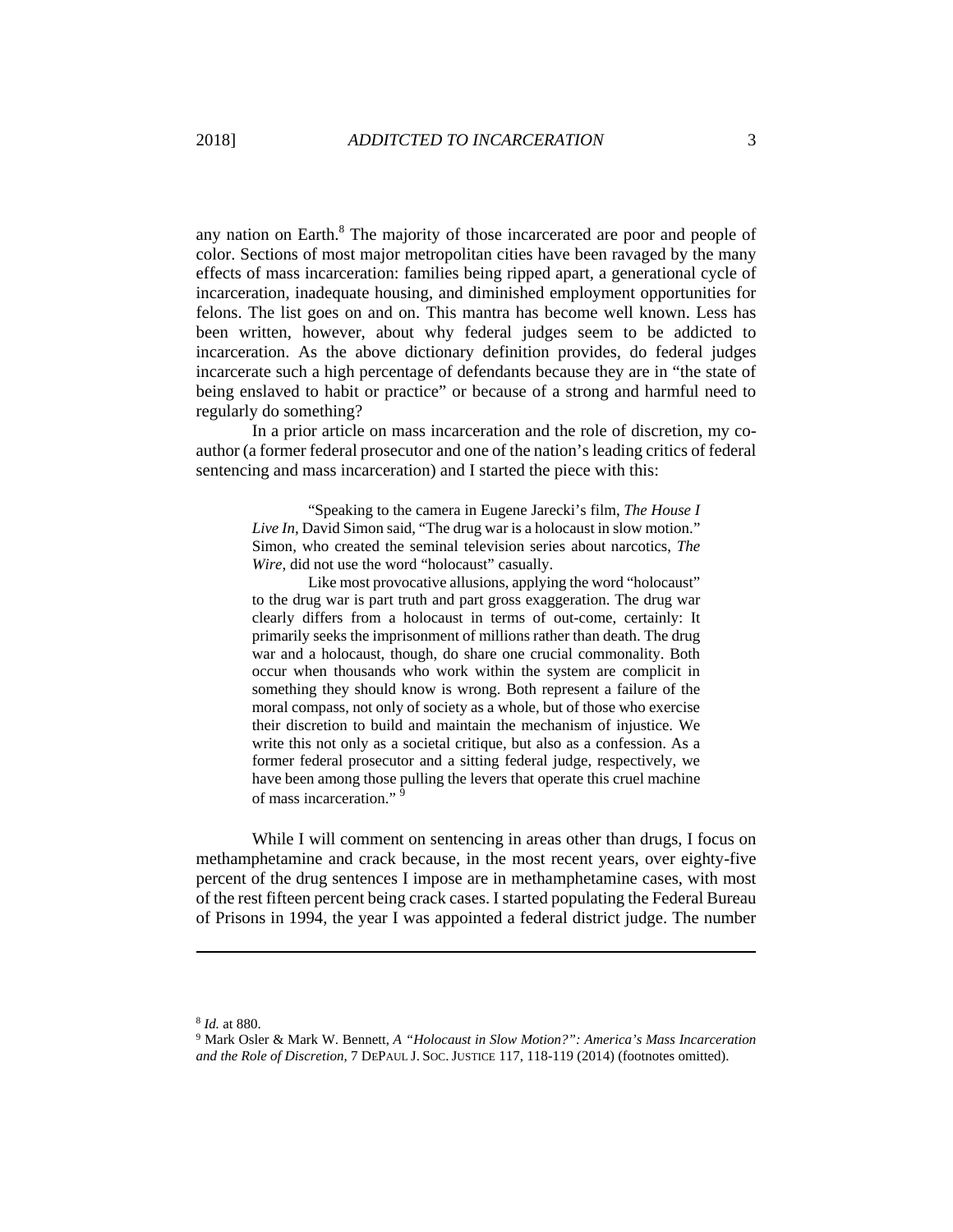any nation on Earth.<sup>8</sup> The majority of those incarcerated are poor and people of color. Sections of most major metropolitan cities have been ravaged by the many effects of mass incarceration: families being ripped apart, a generational cycle of incarceration, inadequate housing, and diminished employment opportunities for felons. The list goes on and on. This mantra has become well known. Less has been written, however, about why federal judges seem to be addicted to incarceration. As the above dictionary definition provides, do federal judges incarcerate such a high percentage of defendants because they are in "the state of being enslaved to habit or practice" or because of a strong and harmful need to regularly do something?

In a prior article on mass incarceration and the role of discretion, my coauthor (a former federal prosecutor and one of the nation's leading critics of federal sentencing and mass incarceration) and I started the piece with this:

"Speaking to the camera in Eugene Jarecki's film, *The House I Live In*, David Simon said, "The drug war is a holocaust in slow motion." Simon, who created the seminal television series about narcotics, *The Wire*, did not use the word "holocaust" casually.

Like most provocative allusions, applying the word "holocaust" to the drug war is part truth and part gross exaggeration. The drug war clearly differs from a holocaust in terms of out-come, certainly: It primarily seeks the imprisonment of millions rather than death. The drug war and a holocaust, though, do share one crucial commonality. Both occur when thousands who work within the system are complicit in something they should know is wrong. Both represent a failure of the moral compass, not only of society as a whole, but of those who exercise their discretion to build and maintain the mechanism of injustice. We write this not only as a societal critique, but also as a confession. As a former federal prosecutor and a sitting federal judge, respectively, we have been among those pulling the levers that operate this cruel machine of mass incarceration." 9

While I will comment on sentencing in areas other than drugs, I focus on methamphetamine and crack because, in the most recent years, over eighty-five percent of the drug sentences I impose are in methamphetamine cases, with most of the rest fifteen percent being crack cases. I started populating the Federal Bureau of Prisons in 1994, the year I was appointed a federal district judge. The number

<sup>8</sup> *Id.* at 880.<br><sup>9</sup> Mark Osler & Mark W. Bennett, *A "Holocaust in Slow Motion?": America's Mass Incarceration and the Role of Discretion,* 7 DEPAUL J. SOC. JUSTICE 117, 118-119 (2014) (footnotes omitted).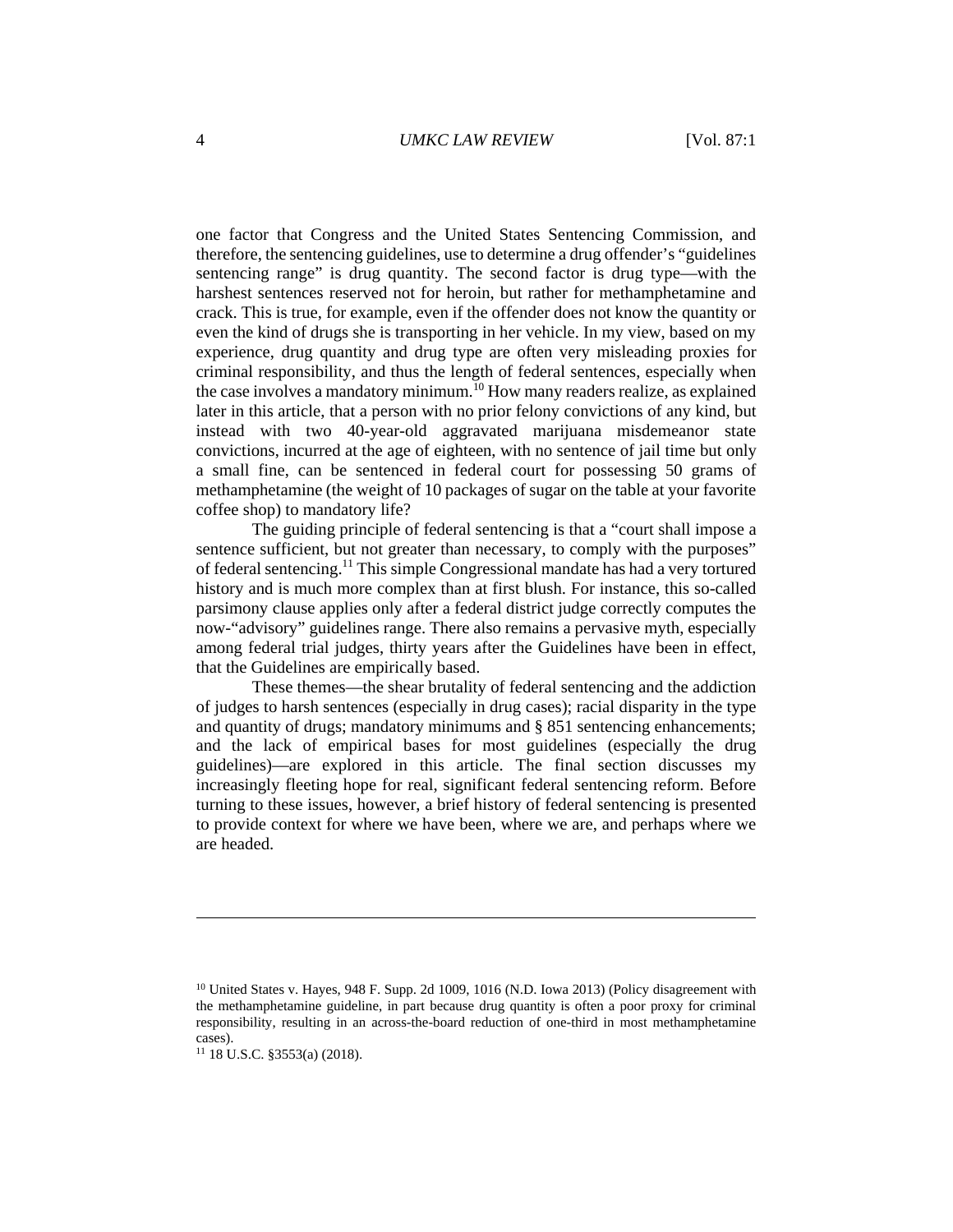one factor that Congress and the United States Sentencing Commission, and therefore, the sentencing guidelines, use to determine a drug offender's "guidelines sentencing range" is drug quantity. The second factor is drug type—with the harshest sentences reserved not for heroin, but rather for methamphetamine and crack. This is true, for example, even if the offender does not know the quantity or even the kind of drugs she is transporting in her vehicle. In my view, based on my experience, drug quantity and drug type are often very misleading proxies for criminal responsibility, and thus the length of federal sentences, especially when the case involves a mandatory minimum.<sup>10</sup> How many readers realize, as explained later in this article, that a person with no prior felony convictions of any kind, but instead with two 40-year-old aggravated marijuana misdemeanor state convictions, incurred at the age of eighteen, with no sentence of jail time but only a small fine, can be sentenced in federal court for possessing 50 grams of methamphetamine (the weight of 10 packages of sugar on the table at your favorite coffee shop) to mandatory life?

The guiding principle of federal sentencing is that a "court shall impose a sentence sufficient, but not greater than necessary, to comply with the purposes" of federal sentencing.11 This simple Congressional mandate has had a very tortured history and is much more complex than at first blush. For instance, this so-called parsimony clause applies only after a federal district judge correctly computes the now-"advisory" guidelines range. There also remains a pervasive myth, especially among federal trial judges, thirty years after the Guidelines have been in effect, that the Guidelines are empirically based.

These themes—the shear brutality of federal sentencing and the addiction of judges to harsh sentences (especially in drug cases); racial disparity in the type and quantity of drugs; mandatory minimums and § 851 sentencing enhancements; and the lack of empirical bases for most guidelines (especially the drug guidelines)—are explored in this article. The final section discusses my increasingly fleeting hope for real, significant federal sentencing reform. Before turning to these issues, however, a brief history of federal sentencing is presented to provide context for where we have been, where we are, and perhaps where we are headed.

<sup>&</sup>lt;sup>10</sup> United States v. Hayes, 948 F. Supp. 2d 1009, 1016 (N.D. Iowa 2013) (Policy disagreement with the methamphetamine guideline, in part because drug quantity is often a poor proxy for criminal responsibility, resulting in an across-the-board reduction of one-third in most methamphetamine cases).

<sup>11 18</sup> U.S.C. §3553(a) (2018).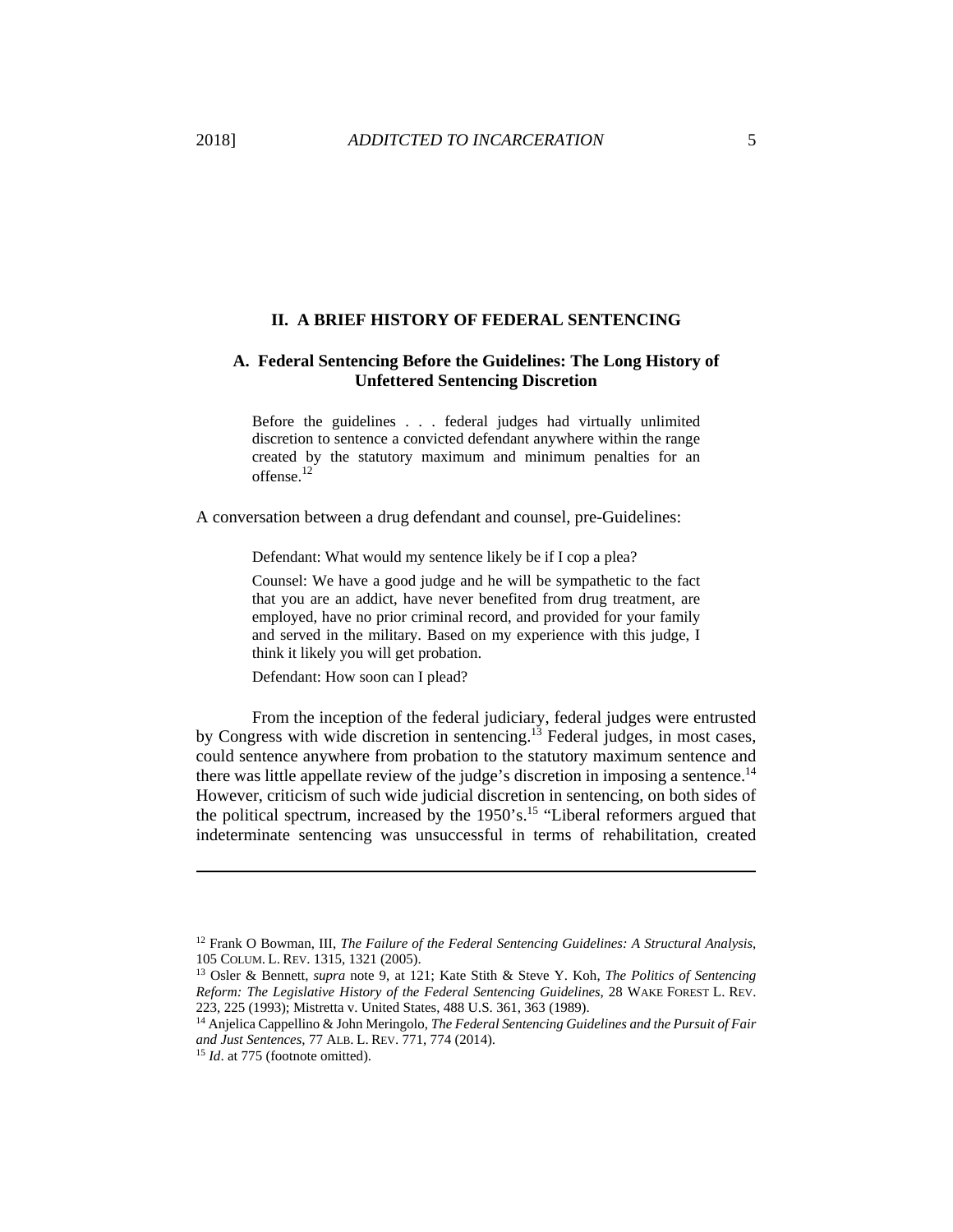#### **II. A BRIEF HISTORY OF FEDERAL SENTENCING**

## **A. Federal Sentencing Before the Guidelines: The Long History of Unfettered Sentencing Discretion**

Before the guidelines . . . federal judges had virtually unlimited discretion to sentence a convicted defendant anywhere within the range created by the statutory maximum and minimum penalties for an offense.<sup>12</sup>

A conversation between a drug defendant and counsel, pre-Guidelines:

Defendant: What would my sentence likely be if I cop a plea?

Counsel: We have a good judge and he will be sympathetic to the fact that you are an addict, have never benefited from drug treatment, are employed, have no prior criminal record, and provided for your family and served in the military. Based on my experience with this judge, I think it likely you will get probation.

Defendant: How soon can I plead?

From the inception of the federal judiciary, federal judges were entrusted by Congress with wide discretion in sentencing.13 Federal judges, in most cases, could sentence anywhere from probation to the statutory maximum sentence and there was little appellate review of the judge's discretion in imposing a sentence.<sup>14</sup> However, criticism of such wide judicial discretion in sentencing, on both sides of the political spectrum, increased by the  $1950$ 's.<sup>15</sup> "Liberal reformers argued that indeterminate sentencing was unsuccessful in terms of rehabilitation, created

<sup>12</sup> Frank O Bowman, III, *The Failure of the Federal Sentencing Guidelines: A Structural Analysis*, 105 COLUM. L. REV. 1315, 1321 (2005). 13 Osler & Bennett, *supra* note 9, at 121; Kate Stith & Steve Y. Koh, *The Politics of Sentencing* 

*Reform: The Legislative History of the Federal Sentencing Guidelines*, 28 WAKE FOREST L. REV.

<sup>223, 225 (1993);</sup> Mistretta v. United States, 488 U.S. 361, 363 (1989). 14 Anjelica Cappellino & John Meringolo, *The Federal Sentencing Guidelines and the Pursuit of Fair and Just Sentences,* 77 ALB. L. REV. 771, 774 (2014). 15 *Id*. at 775 (footnote omitted).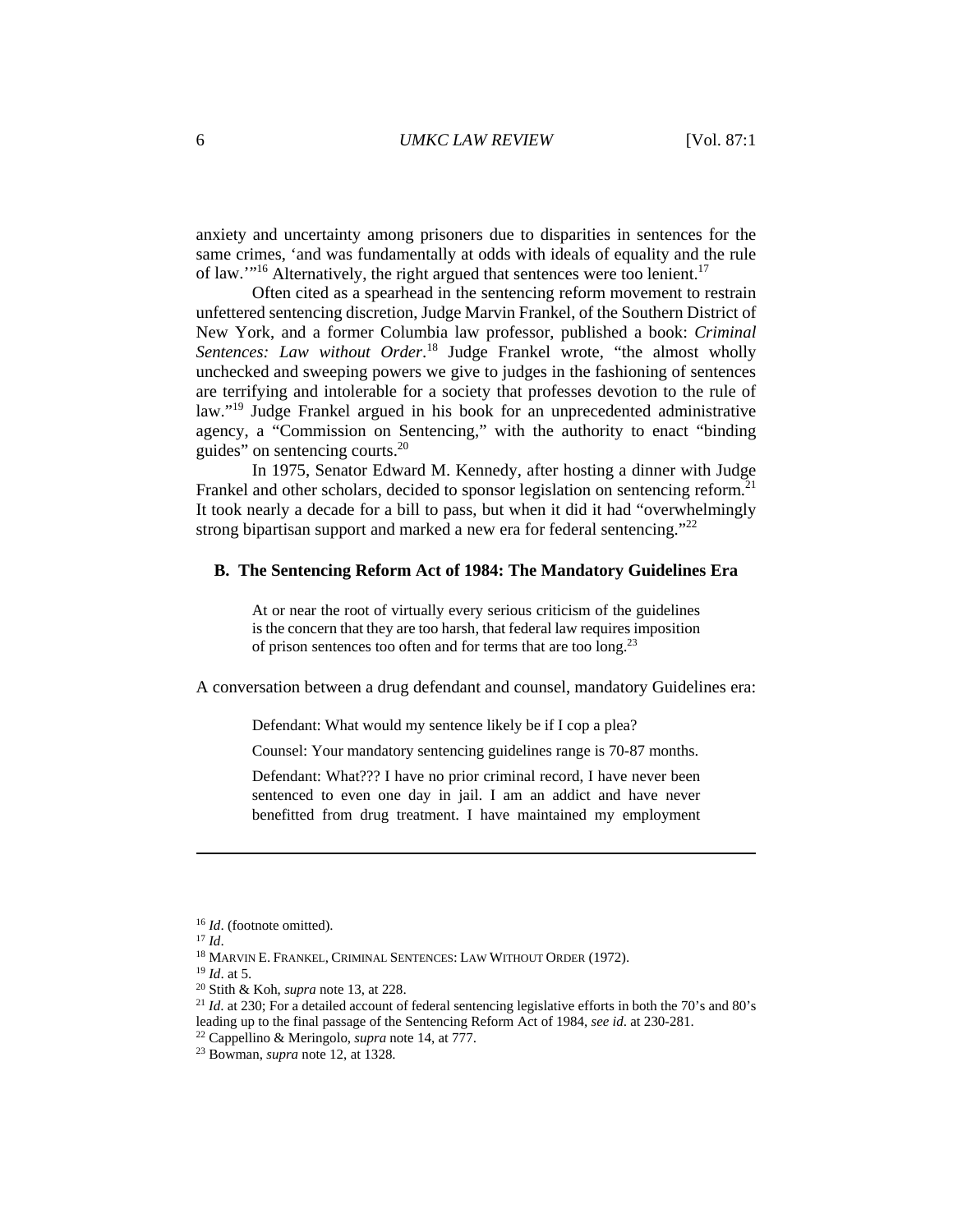anxiety and uncertainty among prisoners due to disparities in sentences for the same crimes, 'and was fundamentally at odds with ideals of equality and the rule of law."<sup>16</sup> Alternatively, the right argued that sentences were too lenient.<sup>17</sup>

Often cited as a spearhead in the sentencing reform movement to restrain unfettered sentencing discretion, Judge Marvin Frankel, of the Southern District of New York, and a former Columbia law professor, published a book: *Criminal*  Sentences: Law without Order.<sup>18</sup> Judge Frankel wrote, "the almost wholly unchecked and sweeping powers we give to judges in the fashioning of sentences are terrifying and intolerable for a society that professes devotion to the rule of law."<sup>19</sup> Judge Frankel argued in his book for an unprecedented administrative agency, a "Commission on Sentencing," with the authority to enact "binding guides" on sentencing courts.<sup>20</sup>

In 1975, Senator Edward M. Kennedy, after hosting a dinner with Judge Frankel and other scholars, decided to sponsor legislation on sentencing reform.<sup>21</sup> It took nearly a decade for a bill to pass, but when it did it had "overwhelmingly strong bipartisan support and marked a new era for federal sentencing."<sup>22</sup>

#### **B. The Sentencing Reform Act of 1984: The Mandatory Guidelines Era**

At or near the root of virtually every serious criticism of the guidelines is the concern that they are too harsh, that federal law requires imposition of prison sentences too often and for terms that are too long.23

A conversation between a drug defendant and counsel, mandatory Guidelines era:

Defendant: What would my sentence likely be if I cop a plea?

Counsel: Your mandatory sentencing guidelines range is 70-87 months.

Defendant: What??? I have no prior criminal record, I have never been sentenced to even one day in jail. I am an addict and have never benefitted from drug treatment. I have maintained my employment

<sup>&</sup>lt;sup>16</sup> *Id.* (footnote omitted).<br><sup>17</sup> *Id.*<br><sup>18</sup> MARVIN E. FRANKEL, CRIMINAL SENTENCES: LAW WITHOUT ORDER (1972).<br><sup>19</sup> *Id.* at 5.<br><sup>20</sup> Stith & Koh, *supra* note 13, at 228.<br><sup>21</sup> *Id.* at 230; For a detailed account of fede leading up to the final passage of the Sentencing Reform Act of 1984, *see id*. at 230-281. 22 Cappellino & Meringolo, *supra* note 14, at 777. 23 Bowman, *supra* note 12, at 1328.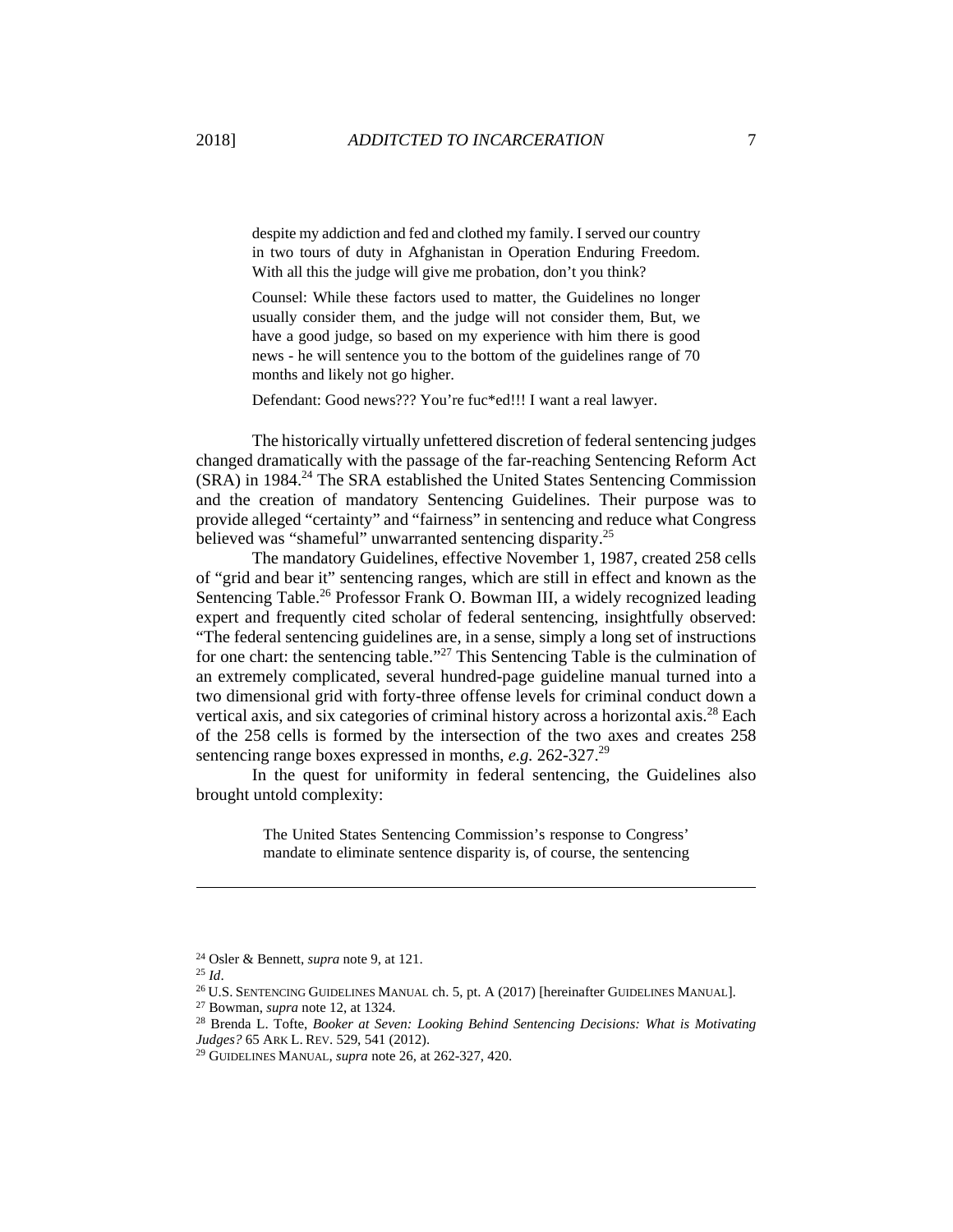despite my addiction and fed and clothed my family. I served our country in two tours of duty in Afghanistan in Operation Enduring Freedom. With all this the judge will give me probation, don't you think?

Counsel: While these factors used to matter, the Guidelines no longer usually consider them, and the judge will not consider them, But, we have a good judge, so based on my experience with him there is good news - he will sentence you to the bottom of the guidelines range of 70 months and likely not go higher.

Defendant: Good news??? You're fuc\*ed!!! I want a real lawyer.

The historically virtually unfettered discretion of federal sentencing judges changed dramatically with the passage of the far-reaching Sentencing Reform Act (SRA) in 1984.<sup>24</sup> The SRA established the United States Sentencing Commission and the creation of mandatory Sentencing Guidelines. Their purpose was to provide alleged "certainty" and "fairness" in sentencing and reduce what Congress believed was "shameful" unwarranted sentencing disparity.<sup>25</sup>

The mandatory Guidelines, effective November 1, 1987, created 258 cells of "grid and bear it" sentencing ranges, which are still in effect and known as the Sentencing Table.<sup>26</sup> Professor Frank O. Bowman III, a widely recognized leading expert and frequently cited scholar of federal sentencing, insightfully observed: "The federal sentencing guidelines are, in a sense, simply a long set of instructions for one chart: the sentencing table."27 This Sentencing Table is the culmination of an extremely complicated, several hundred-page guideline manual turned into a two dimensional grid with forty-three offense levels for criminal conduct down a vertical axis, and six categories of criminal history across a horizontal axis.<sup>28</sup> Each of the 258 cells is formed by the intersection of the two axes and creates 258 sentencing range boxes expressed in months, *e.g.* 262-327.29

In the quest for uniformity in federal sentencing, the Guidelines also brought untold complexity:

> The United States Sentencing Commission's response to Congress' mandate to eliminate sentence disparity is, of course, the sentencing

<sup>&</sup>lt;sup>24</sup> Osler & Bennett, *supra* note 9, at 121.<br>
<sup>25</sup> *Id.*<br>
<sup>26</sup> U.S. SENTENCING GUIDELINES MANUAL ch. 5, pt. A (2017) [hereinafter GUIDELINES MANUAL].<br>
<sup>27</sup> Bowman, *supra* note 12, at 1324.<br>
<sup>28</sup> Brenda L. Tofte, *Booker* 

<sup>&</sup>lt;sup>29</sup> GUIDELINES MANUAL, *supra* note 26, at 262-327, 420.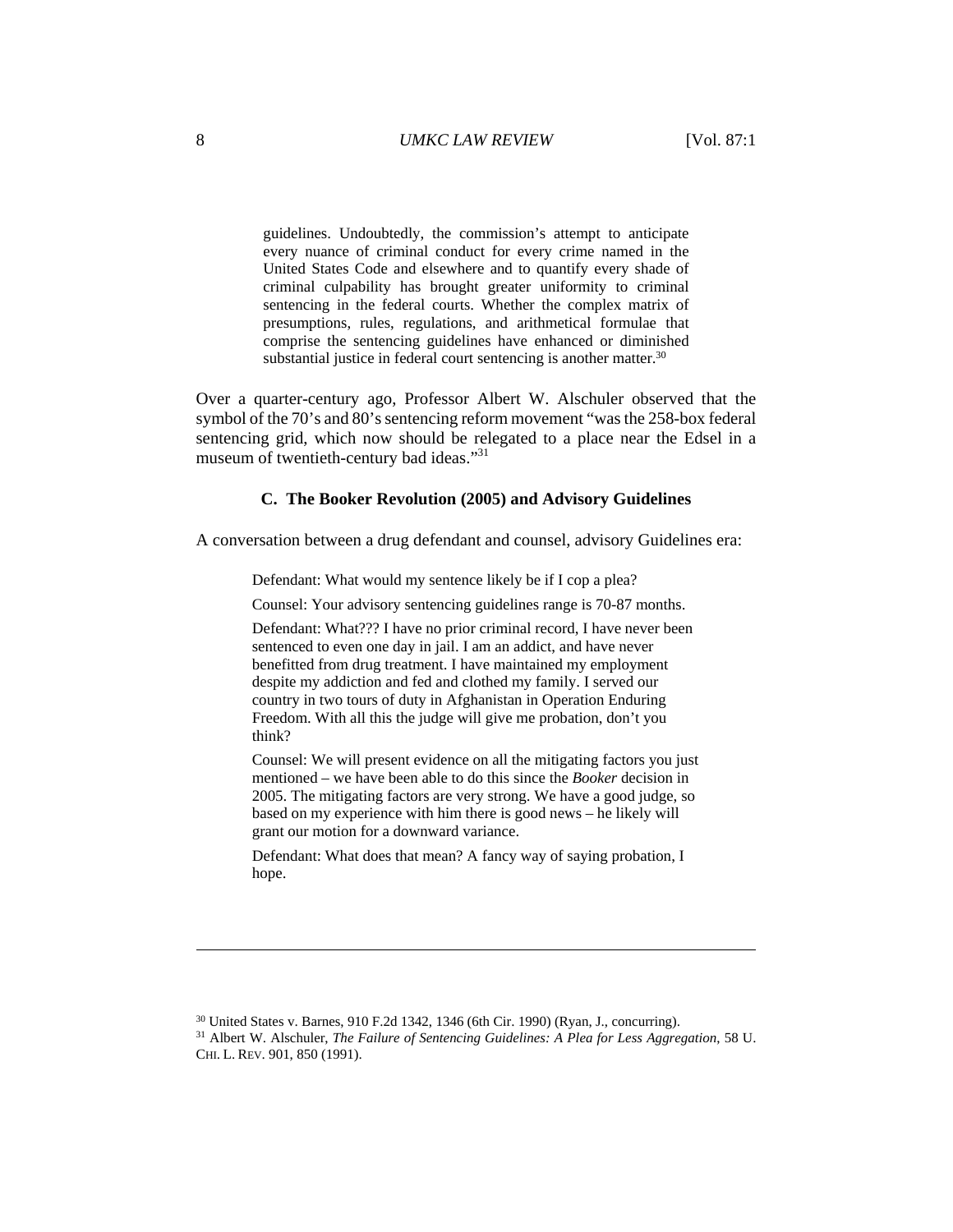guidelines. Undoubtedly, the commission's attempt to anticipate every nuance of criminal conduct for every crime named in the United States Code and elsewhere and to quantify every shade of criminal culpability has brought greater uniformity to criminal sentencing in the federal courts. Whether the complex matrix of presumptions, rules, regulations, and arithmetical formulae that comprise the sentencing guidelines have enhanced or diminished substantial justice in federal court sentencing is another matter.<sup>30</sup>

Over a quarter-century ago, Professor Albert W. Alschuler observed that the symbol of the 70's and 80's sentencing reform movement "was the 258-box federal sentencing grid, which now should be relegated to a place near the Edsel in a museum of twentieth-century bad ideas."<sup>31</sup>

## **C. The Booker Revolution (2005) and Advisory Guidelines**

A conversation between a drug defendant and counsel, advisory Guidelines era:

Defendant: What would my sentence likely be if I cop a plea?

Counsel: Your advisory sentencing guidelines range is 70-87 months.

Defendant: What??? I have no prior criminal record, I have never been sentenced to even one day in jail. I am an addict, and have never benefitted from drug treatment. I have maintained my employment despite my addiction and fed and clothed my family. I served our country in two tours of duty in Afghanistan in Operation Enduring Freedom. With all this the judge will give me probation, don't you think?

Counsel: We will present evidence on all the mitigating factors you just mentioned – we have been able to do this since the *Booker* decision in 2005. The mitigating factors are very strong. We have a good judge, so based on my experience with him there is good news – he likely will grant our motion for a downward variance.

Defendant: What does that mean? A fancy way of saying probation, I hope.

<sup>30</sup> United States v. Barnes, 910 F.2d 1342, 1346 (6th Cir. 1990) (Ryan, J., concurring). 31 Albert W. Alschuler, *The Failure of Sentencing Guidelines: A Plea for Less Aggregation*, 58 U. CHI. L. REV. 901, 850 (1991).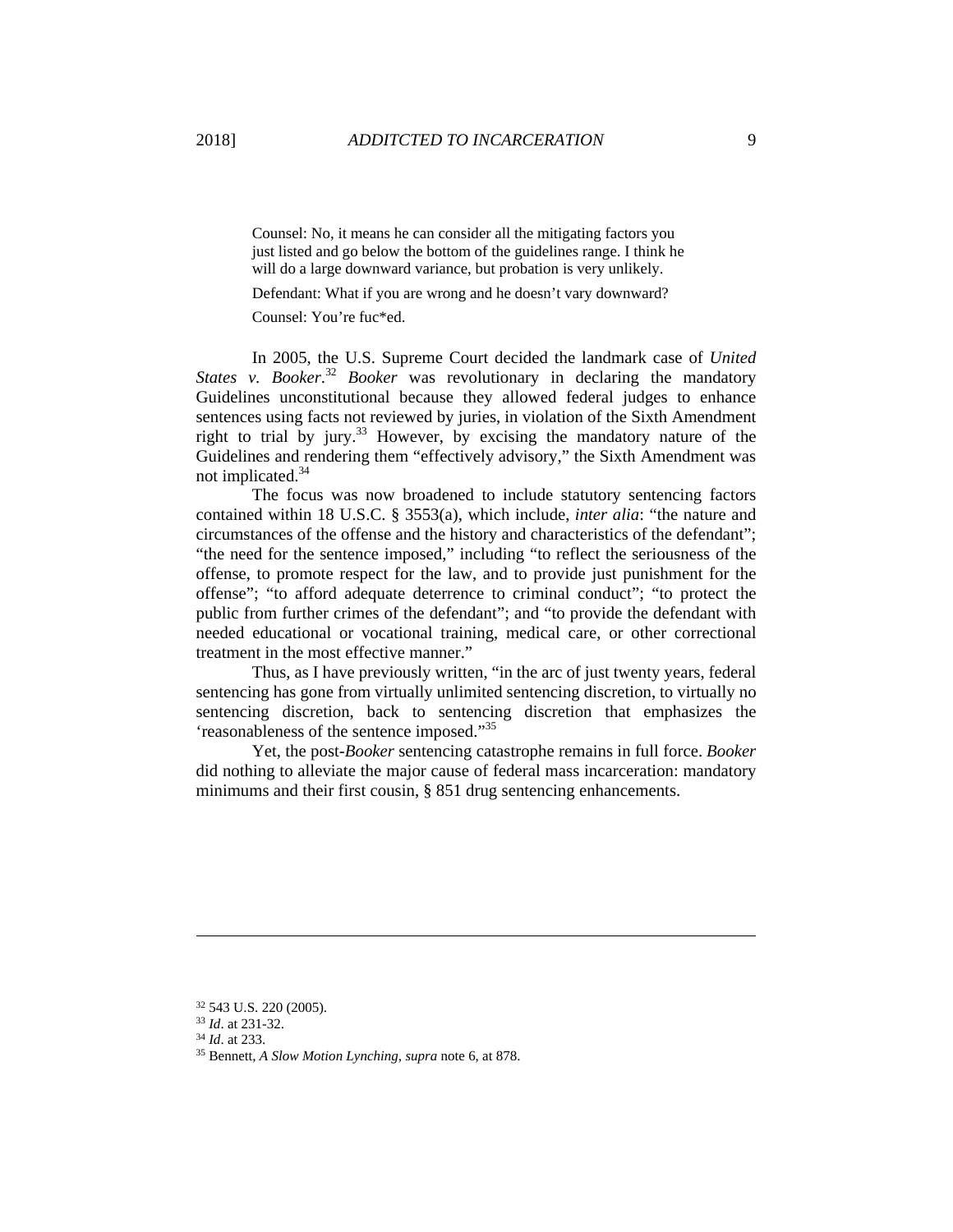Counsel: No, it means he can consider all the mitigating factors you just listed and go below the bottom of the guidelines range. I think he will do a large downward variance, but probation is very unlikely.

Defendant: What if you are wrong and he doesn't vary downward?

Counsel: You're fuc\*ed.

In 2005, the U.S. Supreme Court decided the landmark case of *United*  States v. Booker.<sup>32</sup> Booker was revolutionary in declaring the mandatory Guidelines unconstitutional because they allowed federal judges to enhance sentences using facts not reviewed by juries, in violation of the Sixth Amendment right to trial by jury.<sup>33</sup> However, by excising the mandatory nature of the Guidelines and rendering them "effectively advisory," the Sixth Amendment was not implicated.<sup>34</sup>

The focus was now broadened to include statutory sentencing factors contained within 18 U.S.C. § 3553(a), which include, *inter alia*: "the nature and circumstances of the offense and the history and characteristics of the defendant"; "the need for the sentence imposed," including "to reflect the seriousness of the offense, to promote respect for the law, and to provide just punishment for the offense"; "to afford adequate deterrence to criminal conduct"; "to protect the public from further crimes of the defendant"; and "to provide the defendant with needed educational or vocational training, medical care, or other correctional treatment in the most effective manner."

Thus, as I have previously written, "in the arc of just twenty years, federal sentencing has gone from virtually unlimited sentencing discretion, to virtually no sentencing discretion, back to sentencing discretion that emphasizes the 'reasonableness of the sentence imposed."<sup>35</sup>

Yet, the post-*Booker* sentencing catastrophe remains in full force. *Booker* did nothing to alleviate the major cause of federal mass incarceration: mandatory minimums and their first cousin, § 851 drug sentencing enhancements.

 $32$  543 U.S. 220 (2005).<br> $33$  *Id.* at 231-32.

<sup>&</sup>lt;sup>34</sup> *Id.* at 233. *S*<sup>35</sup> Bennett, *A Slow Motion Lynching, supra* note 6, at 878.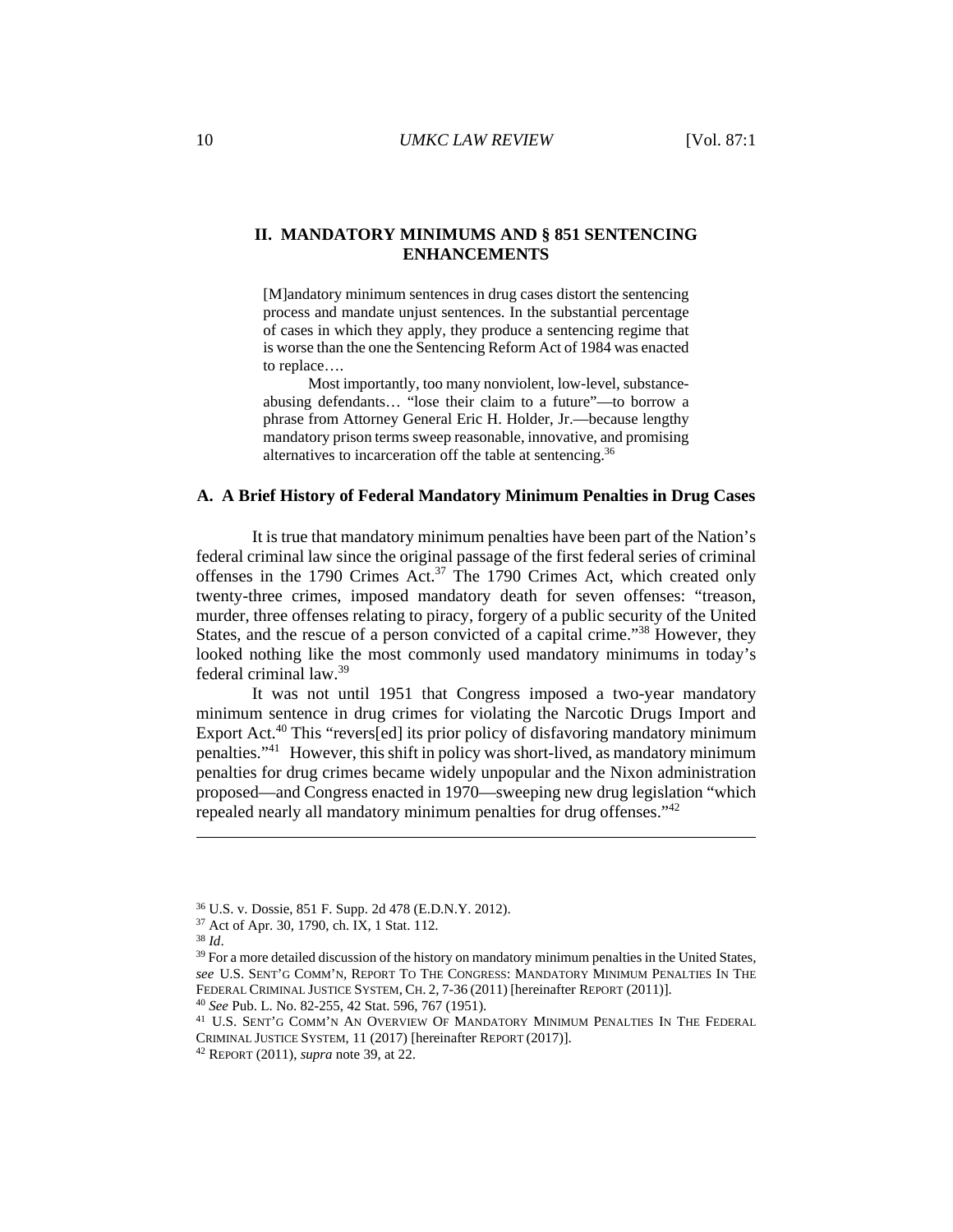## **II. MANDATORY MINIMUMS AND § 851 SENTENCING ENHANCEMENTS**

[M]andatory minimum sentences in drug cases distort the sentencing process and mandate unjust sentences. In the substantial percentage of cases in which they apply, they produce a sentencing regime that is worse than the one the Sentencing Reform Act of 1984 was enacted to replace….

Most importantly, too many nonviolent, low-level, substanceabusing defendants… "lose their claim to a future"—to borrow a phrase from Attorney General Eric H. Holder, Jr.—because lengthy mandatory prison terms sweep reasonable, innovative, and promising alternatives to incarceration off the table at sentencing.36

## **A. A Brief History of Federal Mandatory Minimum Penalties in Drug Cases**

It is true that mandatory minimum penalties have been part of the Nation's federal criminal law since the original passage of the first federal series of criminal offenses in the 1790 Crimes Act.<sup>37</sup> The 1790 Crimes Act, which created only twenty-three crimes, imposed mandatory death for seven offenses: "treason, murder, three offenses relating to piracy, forgery of a public security of the United States, and the rescue of a person convicted of a capital crime."<sup>38</sup> However, they looked nothing like the most commonly used mandatory minimums in today's federal criminal law.39

It was not until 1951 that Congress imposed a two-year mandatory minimum sentence in drug crimes for violating the Narcotic Drugs Import and Export Act.<sup>40</sup> This "revers[ed] its prior policy of disfavoring mandatory minimum penalties."<sup>41</sup> However, this shift in policy was short-lived, as mandatory minimum penalties for drug crimes became widely unpopular and the Nixon administration proposed—and Congress enacted in 1970—sweeping new drug legislation "which repealed nearly all mandatory minimum penalties for drug offenses."<sup>42</sup>

<sup>36</sup> U.S. v. Dossie, 851 F. Supp. 2d 478 (E.D.N.Y. 2012).

<sup>&</sup>lt;sup>37</sup> Act of Apr. 30, 1790, ch. IX, 1 Stat. 112.<br><sup>38</sup> Id.

<sup>&</sup>lt;sup>39</sup> For a more detailed discussion of the history on mandatory minimum penalties in the United States, *see* U.S. SENT'G COMM'N, REPORT TO THE CONGRESS: MANDATORY MINIMUM PENALTIES IN THE FEDERAL CRIMINAL JUSTICE SYSTEM, CH. 2, 7-36 (2011) [hereinafter REPORT (2011)].<br><sup>40</sup> *See* Pub. L. No. 82-255, 42 Stat. 596, 767 (1951). <sup>41</sup> U.S. SENT'G COMM'N AN OVERVIEW OF MANDATORY MINIMUM PENALTIES IN THE FEDERAL

CRIMINAL JUSTICE SYSTEM, 11 (2017) [hereinafter REPORT (2017)]. 42 REPORT (2011), *supra* note 39, at 22.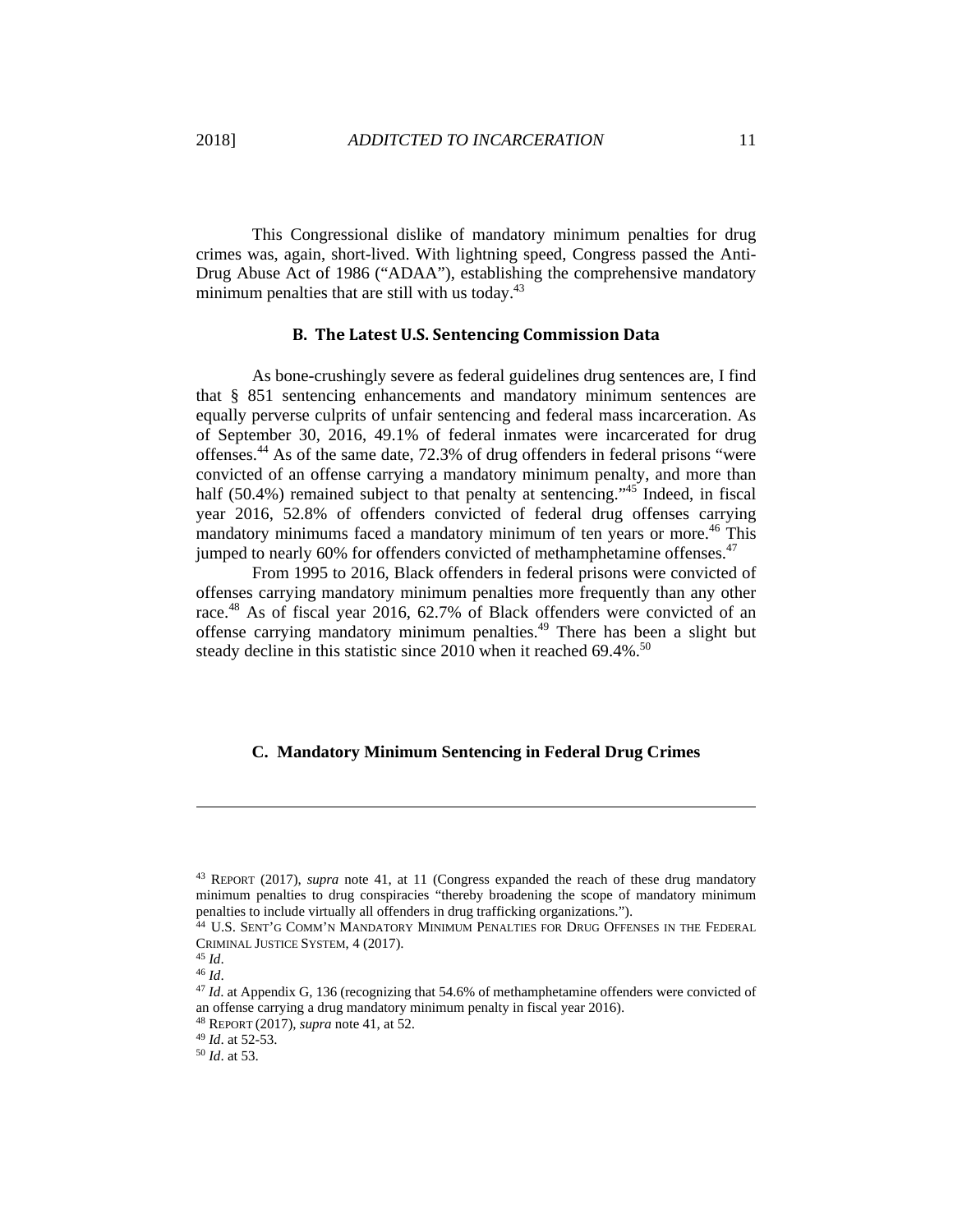This Congressional dislike of mandatory minimum penalties for drug crimes was, again, short-lived. With lightning speed, Congress passed the Anti-Drug Abuse Act of 1986 ("ADAA"), establishing the comprehensive mandatory minimum penalties that are still with us today.<sup>43</sup>

## **B. The Latest U.S. Sentencing Commission Data**

As bone-crushingly severe as federal guidelines drug sentences are, I find that § 851 sentencing enhancements and mandatory minimum sentences are equally perverse culprits of unfair sentencing and federal mass incarceration. As of September 30, 2016, 49.1% of federal inmates were incarcerated for drug offenses.44 As of the same date, 72.3% of drug offenders in federal prisons "were convicted of an offense carrying a mandatory minimum penalty, and more than half (50.4%) remained subject to that penalty at sentencing."<sup>45</sup> Indeed, in fiscal year 2016, 52.8% of offenders convicted of federal drug offenses carrying mandatory minimums faced a mandatory minimum of ten years or more.<sup>46</sup> This jumped to nearly 60% for offenders convicted of methamphetamine offenses.<sup>47</sup>

From 1995 to 2016, Black offenders in federal prisons were convicted of offenses carrying mandatory minimum penalties more frequently than any other race.<sup>48</sup> As of fiscal year 2016, 62.7% of Black offenders were convicted of an offense carrying mandatory minimum penalties.49 There has been a slight but steady decline in this statistic since  $2010$  when it reached 69.4%.<sup>50</sup>

## **C. Mandatory Minimum Sentencing in Federal Drug Crimes**

<sup>43</sup> REPORT (2017), *supra* note 41, at 11 (Congress expanded the reach of these drug mandatory minimum penalties to drug conspiracies "thereby broadening the scope of mandatory minimum penalties to include virtually all offenders in drug trafficking organizations."). 44 U.S. SENT'G COMM'N MANDATORY MINIMUM PENALTIES FOR DRUG OFFENSES IN THE FEDERAL

CRIMINAL JUSTICE SYSTEM, 4 (2017).<br><sup>45</sup> *Id.* 46 *Id.* 46 *Id.* 46 *Id.* 46 *Id.* 47 *Id.* at Appendix G, 136 (recognizing that 54.6% of methamphetamine offenders were convicted of 47 *Id.* at Appendix G, 136 (recognizing

an offense carrying a drug mandatory minimum penalty in fiscal year 2016). 48 REPORT (2017), *supra* note 41, at 52. 49 *Id*. at 52-53. 50 *Id*. at 53.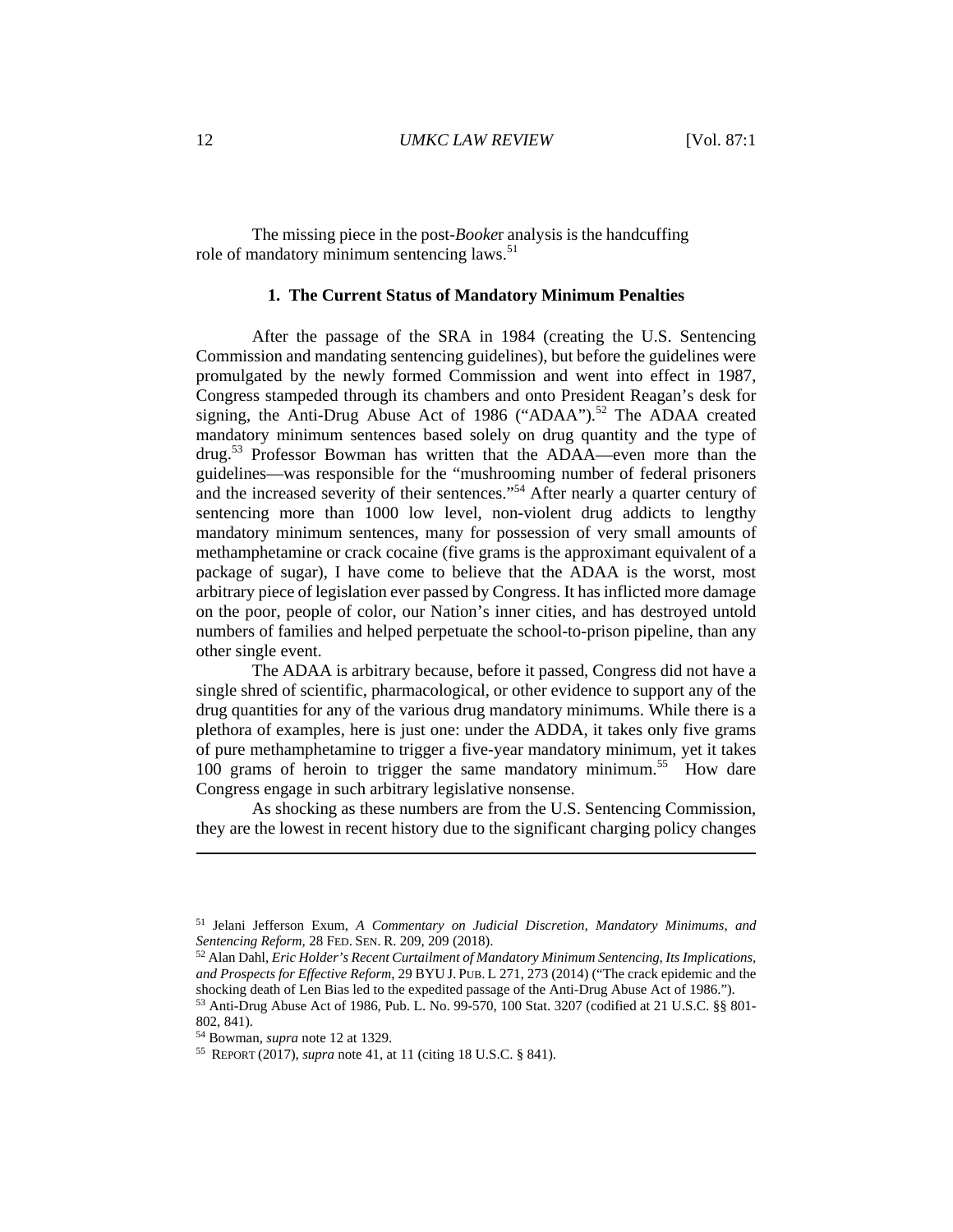The missing piece in the post-*Booke*r analysis is the handcuffing role of mandatory minimum sentencing laws.<sup>51</sup>

## **1. The Current Status of Mandatory Minimum Penalties**

After the passage of the SRA in 1984 (creating the U.S. Sentencing Commission and mandating sentencing guidelines), but before the guidelines were promulgated by the newly formed Commission and went into effect in 1987, Congress stampeded through its chambers and onto President Reagan's desk for signing, the Anti-Drug Abuse Act of 1986 ("ADAA").<sup>52</sup> The ADAA created mandatory minimum sentences based solely on drug quantity and the type of drug.<sup>53</sup> Professor Bowman has written that the ADAA—even more than the guidelines—was responsible for the "mushrooming number of federal prisoners and the increased severity of their sentences."<sup>54</sup> After nearly a quarter century of sentencing more than 1000 low level, non-violent drug addicts to lengthy mandatory minimum sentences, many for possession of very small amounts of methamphetamine or crack cocaine (five grams is the approximant equivalent of a package of sugar), I have come to believe that the ADAA is the worst, most arbitrary piece of legislation ever passed by Congress. It has inflicted more damage on the poor, people of color, our Nation's inner cities, and has destroyed untold numbers of families and helped perpetuate the school-to-prison pipeline, than any other single event.

The ADAA is arbitrary because, before it passed, Congress did not have a single shred of scientific, pharmacological, or other evidence to support any of the drug quantities for any of the various drug mandatory minimums. While there is a plethora of examples, here is just one: under the ADDA, it takes only five grams of pure methamphetamine to trigger a five-year mandatory minimum, yet it takes 100 grams of heroin to trigger the same mandatory minimum.<sup>55</sup> How dare Congress engage in such arbitrary legislative nonsense.

As shocking as these numbers are from the U.S. Sentencing Commission, they are the lowest in recent history due to the significant charging policy changes

<sup>51</sup> Jelani Jefferson Exum, *A Commentary on Judicial Discretion, Mandatory Minimums*, *and Sentencing Reform, 28 FED. SEN. R. 209, 209 (2018). S2 Alan Dahl, <i>Eric Holder's Recent Curtailment of Mandatory Minimum Sentencing, Its Implications,* 

*and Prospects for Effective Reform*, 29 BYU J. PUB. L 271, 273 (2014) ("The crack epidemic and the shocking death of Len Bias led to the expedited passage of the Anti-Drug Abuse Act of 1986."). 53 Anti-Drug Abuse Act of 1986, Pub. L. No. 99-570, 100 Stat. 3207 (codified at 21 U.S.C. §§ 801-

<sup>802, 841).</sup> 

<sup>54</sup> Bowman, *supra* note 12 at 1329. 55 REPORT (2017), *supra* note 41, at 11 (citing 18 U.S.C. § 841).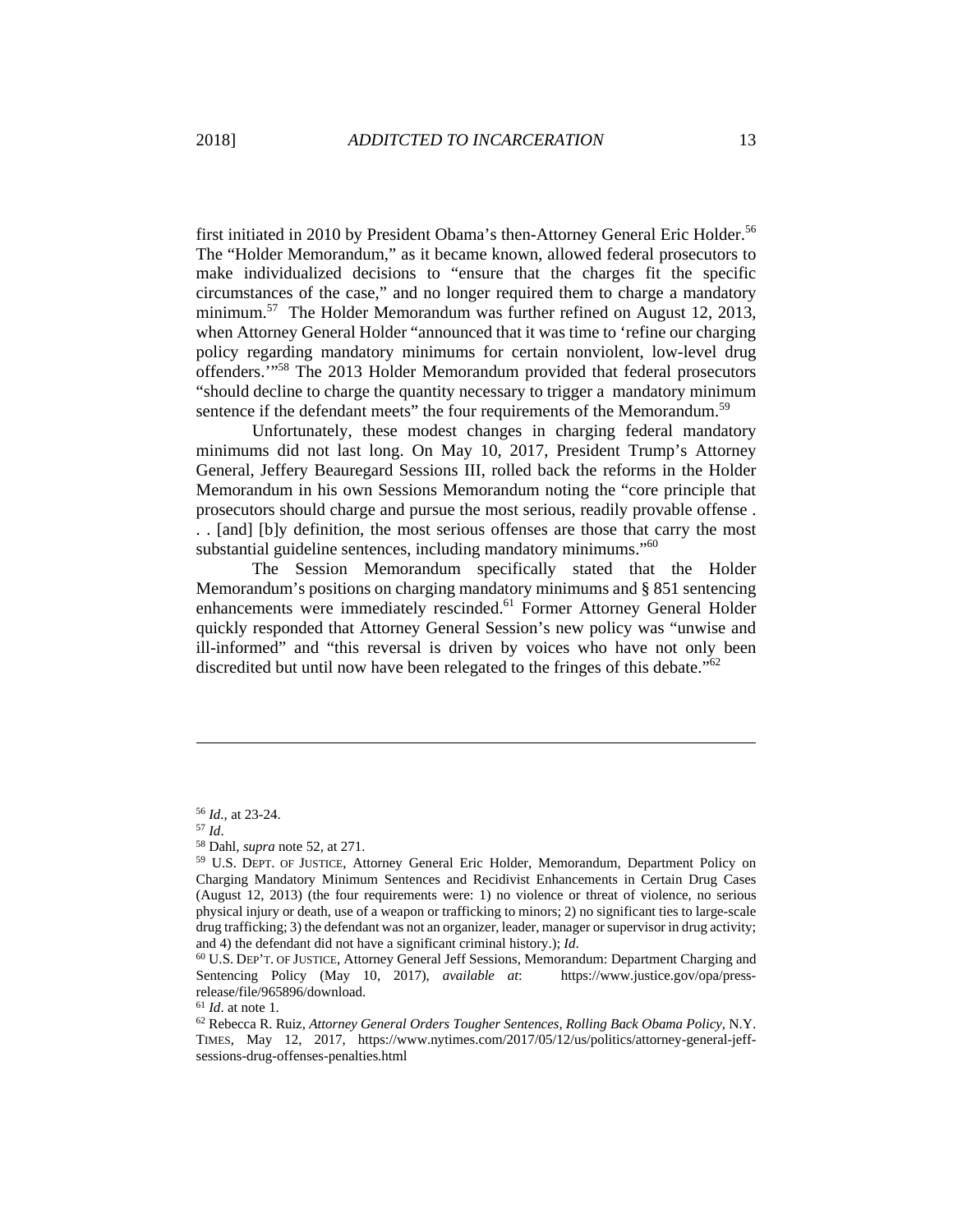first initiated in 2010 by President Obama's then-Attorney General Eric Holder.<sup>56</sup> The "Holder Memorandum," as it became known, allowed federal prosecutors to make individualized decisions to "ensure that the charges fit the specific circumstances of the case," and no longer required them to charge a mandatory minimum.<sup>57</sup> The Holder Memorandum was further refined on August 12, 2013, when Attorney General Holder "announced that it was time to 'refine our charging policy regarding mandatory minimums for certain nonviolent, low-level drug offenders.'"58 The 2013 Holder Memorandum provided that federal prosecutors "should decline to charge the quantity necessary to trigger a mandatory minimum sentence if the defendant meets" the four requirements of the Memorandum.<sup>59</sup>

Unfortunately, these modest changes in charging federal mandatory minimums did not last long. On May 10, 2017, President Trump's Attorney General, Jeffery Beauregard Sessions III, rolled back the reforms in the Holder Memorandum in his own Sessions Memorandum noting the "core principle that prosecutors should charge and pursue the most serious, readily provable offense . . . [and] [b]y definition, the most serious offenses are those that carry the most substantial guideline sentences, including mandatory minimums."<sup>60</sup>

The Session Memorandum specifically stated that the Holder Memorandum's positions on charging mandatory minimums and § 851 sentencing enhancements were immediately rescinded.<sup>61</sup> Former Attorney General Holder quickly responded that Attorney General Session's new policy was "unwise and ill-informed" and "this reversal is driven by voices who have not only been discredited but until now have been relegated to the fringes of this debate.<sup> $562$ </sup>

<sup>&</sup>lt;sup>56</sup> *Id.*, at 23-24.<br><sup>57</sup> *Id.*<br><sup>58</sup> Dahl, *supra* note 52, at 271.<br><sup>59</sup> U.S. DEPT. OF JUSTICE, Attorney General Eric Holder, Memorandum, Department Policy on Charging Mandatory Minimum Sentences and Recidivist Enhancements in Certain Drug Cases (August 12, 2013) (the four requirements were: 1) no violence or threat of violence, no serious physical injury or death, use of a weapon or trafficking to minors; 2) no significant ties to large-scale drug trafficking; 3) the defendant was not an organizer, leader, manager or supervisor in drug activity;

and 4) the defendant did not have a significant criminal history.); *Id*.<br><sup>60</sup> U.S. DEP'T. OF JUSTICE, Attorney General Jeff Sessions, Memorandum: Department Charging and Sentencing Policy (May 10, 2017), *available at*: https://www.justice.gov/opa/pressrelease/file/965896/download.<br><sup>61</sup> Id. at note 1.

<sup>&</sup>lt;sup>62</sup> Rebecca R. Ruiz, Attorney General Orders Tougher Sentences, Rolling Back Obama Policy, N.Y. TIMES, May 12, 2017, https://www.nytimes.com/2017/05/12/us/politics/attorney-general-jeffsessions-drug-offenses-penalties.html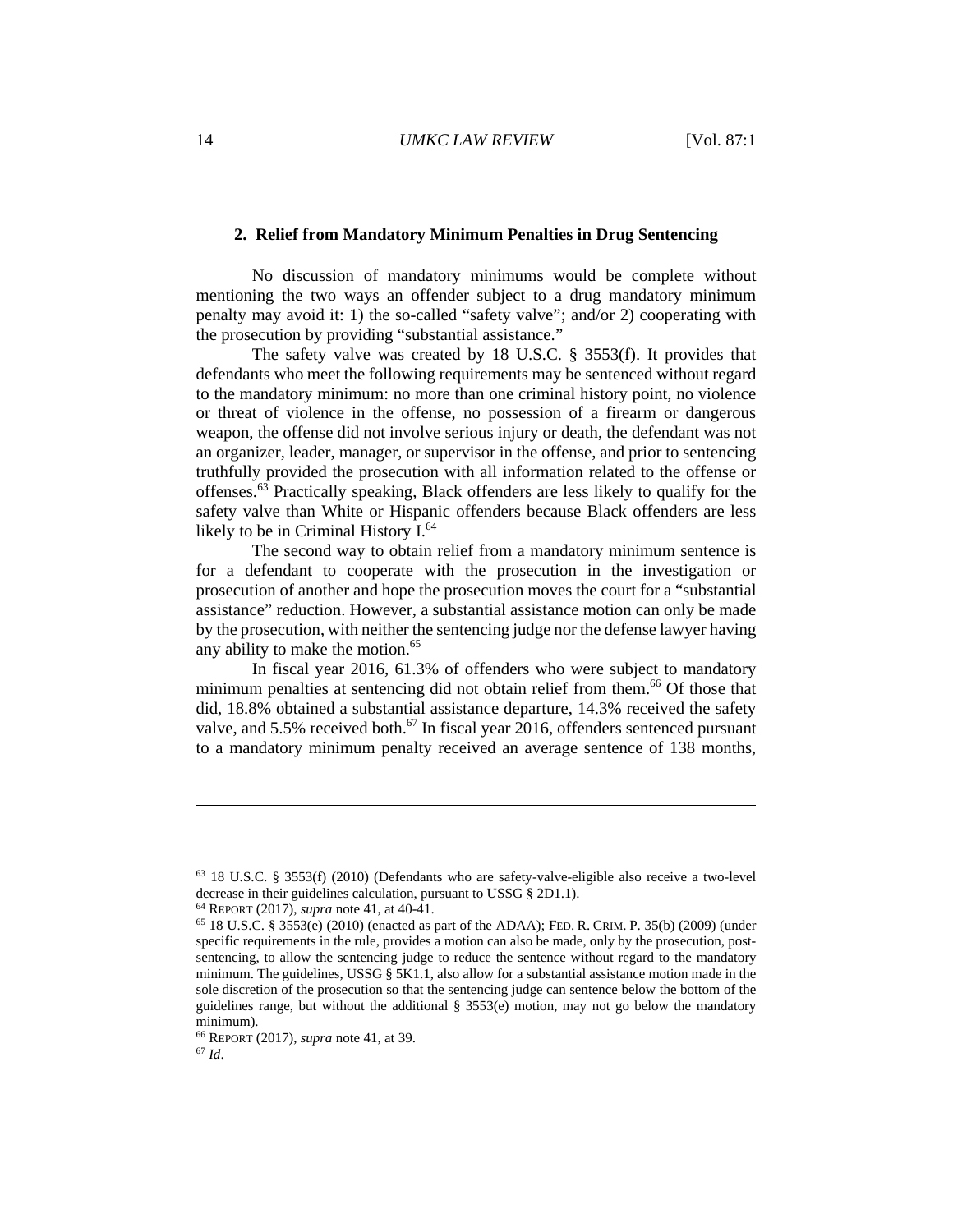## **2. Relief from Mandatory Minimum Penalties in Drug Sentencing**

No discussion of mandatory minimums would be complete without mentioning the two ways an offender subject to a drug mandatory minimum penalty may avoid it: 1) the so-called "safety valve"; and/or 2) cooperating with the prosecution by providing "substantial assistance."

The safety valve was created by 18 U.S.C. § 3553(f). It provides that defendants who meet the following requirements may be sentenced without regard to the mandatory minimum: no more than one criminal history point, no violence or threat of violence in the offense, no possession of a firearm or dangerous weapon, the offense did not involve serious injury or death, the defendant was not an organizer, leader, manager, or supervisor in the offense, and prior to sentencing truthfully provided the prosecution with all information related to the offense or offenses.63 Practically speaking, Black offenders are less likely to qualify for the safety valve than White or Hispanic offenders because Black offenders are less likely to be in Criminal History I.<sup>64</sup>

The second way to obtain relief from a mandatory minimum sentence is for a defendant to cooperate with the prosecution in the investigation or prosecution of another and hope the prosecution moves the court for a "substantial assistance" reduction. However, a substantial assistance motion can only be made by the prosecution, with neither the sentencing judge nor the defense lawyer having any ability to make the motion.<sup>65</sup>

In fiscal year 2016, 61.3% of offenders who were subject to mandatory minimum penalties at sentencing did not obtain relief from them.<sup>66</sup> Of those that did, 18.8% obtained a substantial assistance departure, 14.3% received the safety valve, and  $5.5\%$  received both.<sup>67</sup> In fiscal year 2016, offenders sentenced pursuant to a mandatory minimum penalty received an average sentence of 138 months,

<sup>63 18</sup> U.S.C. § 3553(f) (2010) (Defendants who are safety-valve-eligible also receive a two-level decrease in their guidelines calculation, pursuant to USSG § 2D1.1).

<sup>&</sup>lt;sup>64</sup> REPORT (2017), *supra* note 41, at 40-41.<br><sup>65</sup> 18 U.S.C. § 3553(e) (2010) (enacted as part of the ADAA); FED. R. CRIM. P. 35(b) (2009) (under specific requirements in the rule, provides a motion can also be made, only by the prosecution, postsentencing, to allow the sentencing judge to reduce the sentence without regard to the mandatory minimum. The guidelines, USSG §  $5K1.1$ , also allow for a substantial assistance motion made in the sole discretion of the prosecution so that the sentencing judge can sentence below the bottom of the guidelines range, but without the additional  $\S$  3553(e) motion, may not go below the mandatory minimum).

<sup>66</sup> REPORT (2017), *supra* note 41, at 39. 67 *Id*.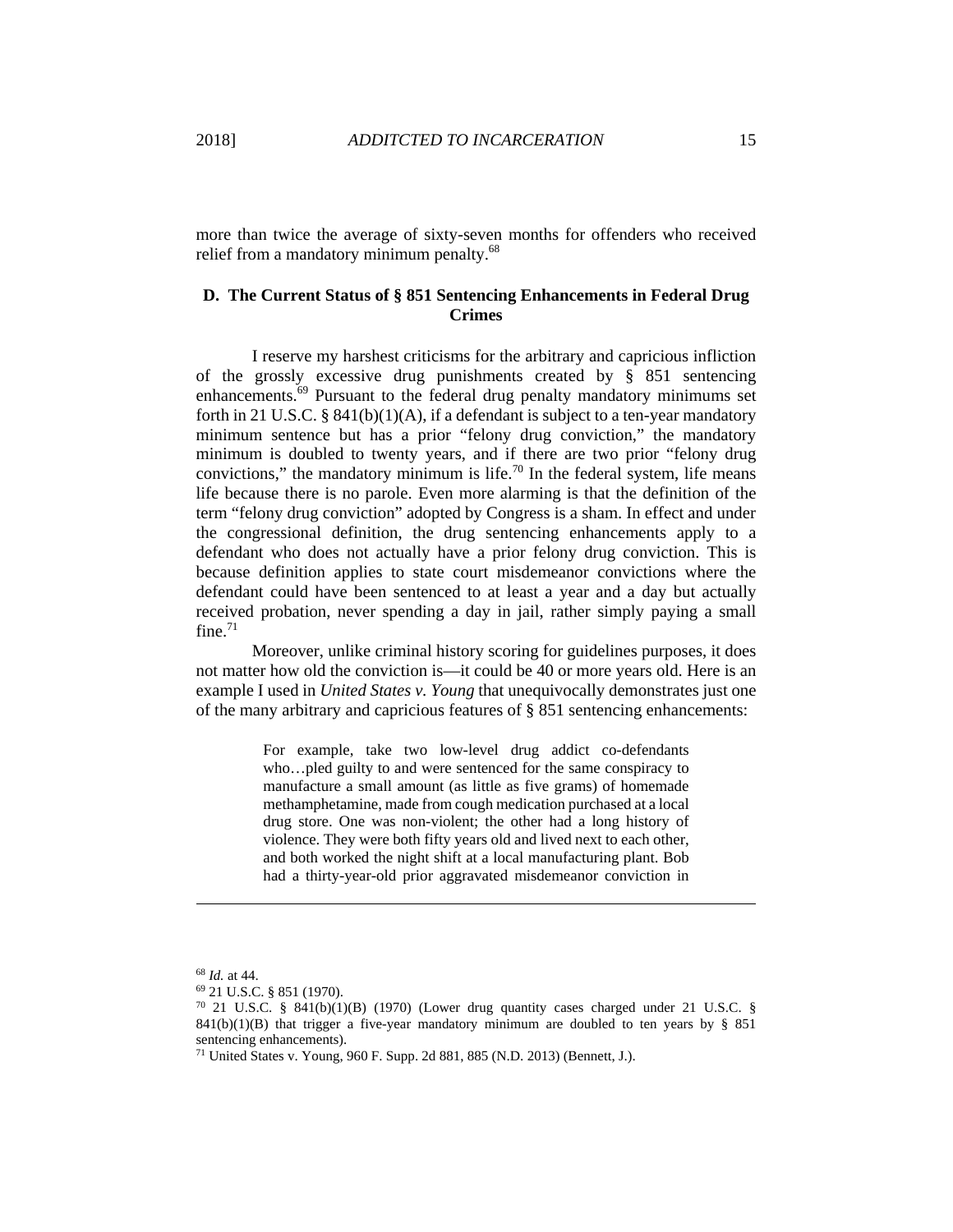more than twice the average of sixty-seven months for offenders who received relief from a mandatory minimum penalty.<sup>68</sup>

## **D. The Current Status of § 851 Sentencing Enhancements in Federal Drug Crimes**

I reserve my harshest criticisms for the arbitrary and capricious infliction of the grossly excessive drug punishments created by § 851 sentencing enhancements.<sup>69</sup> Pursuant to the federal drug penalty mandatory minimums set forth in 21 U.S.C. § 841(b)(1)(A), if a defendant is subject to a ten-year mandatory minimum sentence but has a prior "felony drug conviction," the mandatory minimum is doubled to twenty years, and if there are two prior "felony drug convictions," the mandatory minimum is life.<sup>70</sup> In the federal system, life means life because there is no parole. Even more alarming is that the definition of the term "felony drug conviction" adopted by Congress is a sham. In effect and under the congressional definition, the drug sentencing enhancements apply to a defendant who does not actually have a prior felony drug conviction. This is because definition applies to state court misdemeanor convictions where the defendant could have been sentenced to at least a year and a day but actually received probation, never spending a day in jail, rather simply paying a small  $fine.<sup>71</sup>$ 

Moreover, unlike criminal history scoring for guidelines purposes, it does not matter how old the conviction is—it could be 40 or more years old. Here is an example I used in *United States v. Young* that unequivocally demonstrates just one of the many arbitrary and capricious features of § 851 sentencing enhancements:

> For example, take two low-level drug addict co-defendants who…pled guilty to and were sentenced for the same conspiracy to manufacture a small amount (as little as five grams) of homemade methamphetamine, made from cough medication purchased at a local drug store. One was non-violent; the other had a long history of violence. They were both fifty years old and lived next to each other, and both worked the night shift at a local manufacturing plant. Bob had a thirty-year-old prior aggravated misdemeanor conviction in

<sup>68</sup> *Id.* at 44. 69 21 U.S.C. § 851 (1970).

 $70$  21 U.S.C. § 841(b)(1)(B) (1970) (Lower drug quantity cases charged under 21 U.S.C. § 841(b)(1)(B) that trigger a five-year mandatory minimum are doubled to ten years by  $\S$  851 sentencing enhancements).

<sup>71</sup> United States v. Young, 960 F. Supp. 2d 881, 885 (N.D. 2013) (Bennett, J.).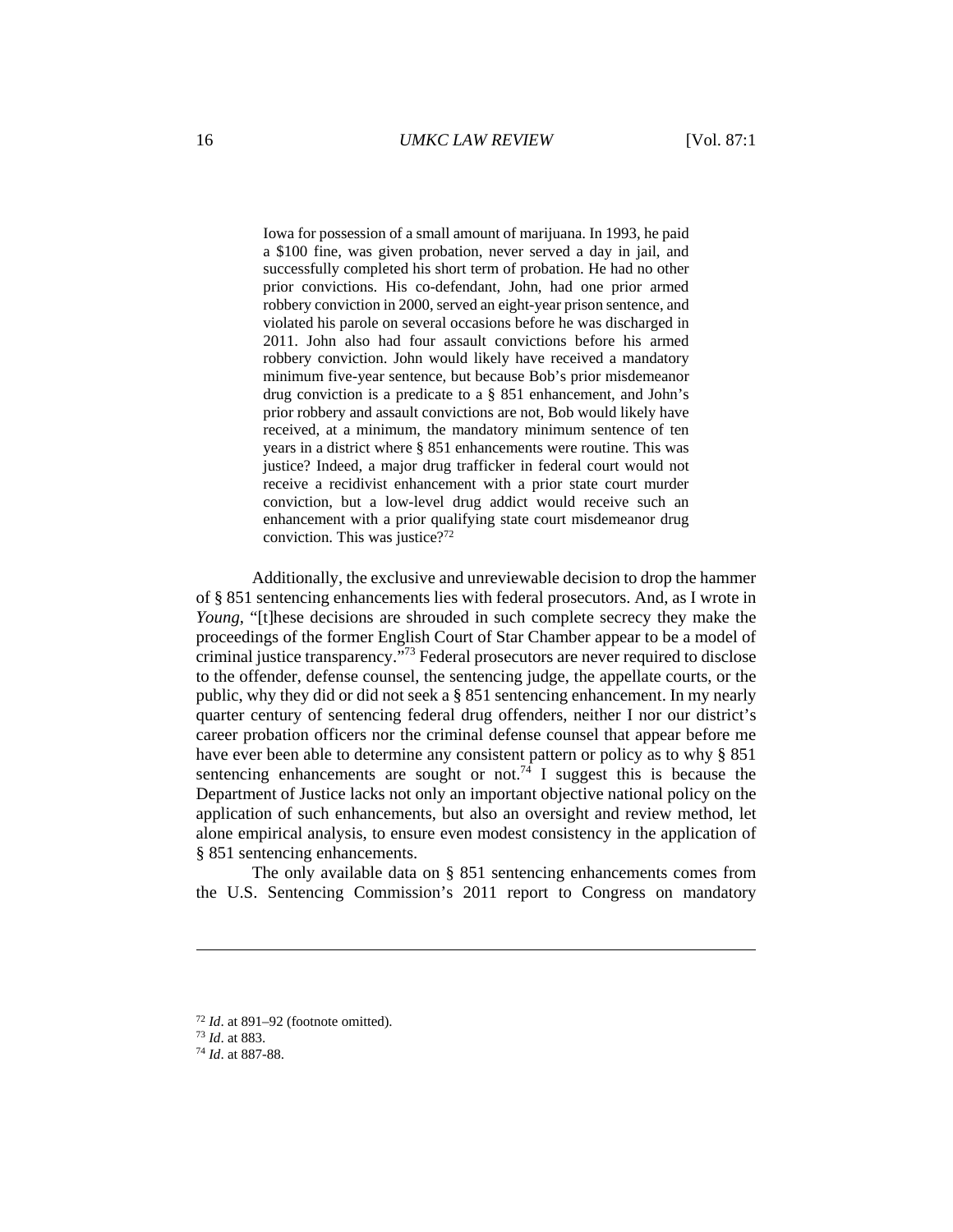Iowa for possession of a small amount of marijuana. In 1993, he paid a \$100 fine, was given probation, never served a day in jail, and successfully completed his short term of probation. He had no other prior convictions. His co-defendant, John, had one prior armed robbery conviction in 2000, served an eight-year prison sentence, and violated his parole on several occasions before he was discharged in 2011. John also had four assault convictions before his armed robbery conviction. John would likely have received a mandatory minimum five-year sentence, but because Bob's prior misdemeanor drug conviction is a predicate to a § 851 enhancement, and John's prior robbery and assault convictions are not, Bob would likely have received, at a minimum, the mandatory minimum sentence of ten years in a district where § 851 enhancements were routine. This was justice? Indeed, a major drug trafficker in federal court would not receive a recidivist enhancement with a prior state court murder conviction, but a low-level drug addict would receive such an enhancement with a prior qualifying state court misdemeanor drug conviction. This was justice?72

Additionally, the exclusive and unreviewable decision to drop the hammer of § 851 sentencing enhancements lies with federal prosecutors. And, as I wrote in *Young*, "[t]hese decisions are shrouded in such complete secrecy they make the proceedings of the former English Court of Star Chamber appear to be a model of criminal justice transparency."73 Federal prosecutors are never required to disclose to the offender, defense counsel, the sentencing judge, the appellate courts, or the public, why they did or did not seek a § 851 sentencing enhancement. In my nearly quarter century of sentencing federal drug offenders, neither I nor our district's career probation officers nor the criminal defense counsel that appear before me have ever been able to determine any consistent pattern or policy as to why § 851 sentencing enhancements are sought or not.<sup>74</sup> I suggest this is because the Department of Justice lacks not only an important objective national policy on the application of such enhancements, but also an oversight and review method, let alone empirical analysis, to ensure even modest consistency in the application of § 851 sentencing enhancements.

The only available data on § 851 sentencing enhancements comes from the U.S. Sentencing Commission's 2011 report to Congress on mandatory

<sup>72</sup> *Id*. at 891–92 (footnote omitted). 73 *Id*. at 883. 74 *Id*. at 887-88.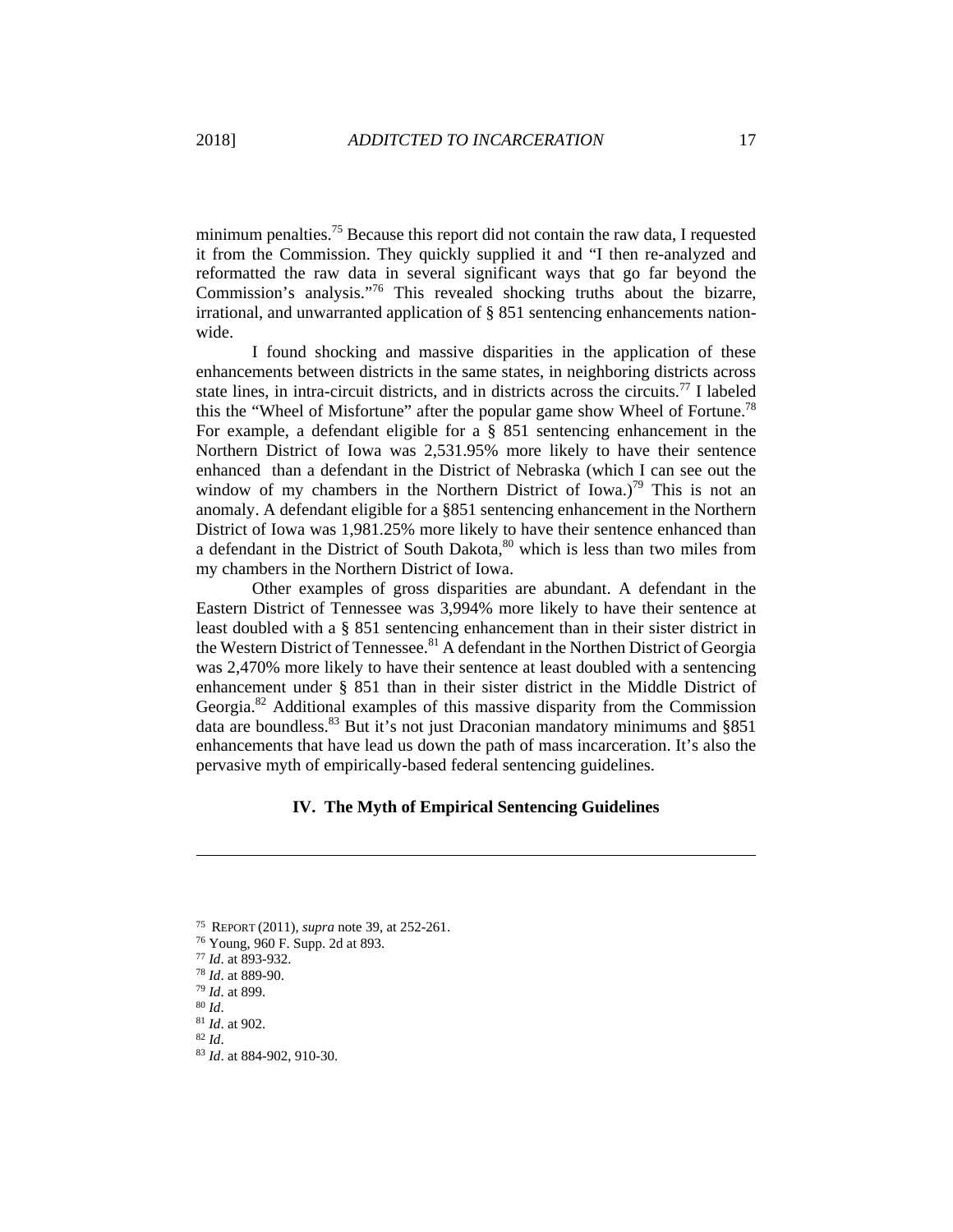minimum penalties.<sup>75</sup> Because this report did not contain the raw data, I requested it from the Commission. They quickly supplied it and "I then re-analyzed and reformatted the raw data in several significant ways that go far beyond the Commission's analysis."76 This revealed shocking truths about the bizarre, irrational, and unwarranted application of § 851 sentencing enhancements nationwide.

I found shocking and massive disparities in the application of these enhancements between districts in the same states, in neighboring districts across state lines, in intra-circuit districts, and in districts across the circuits.<sup>77</sup> I labeled this the "Wheel of Misfortune" after the popular game show Wheel of Fortune.<sup>78</sup> For example, a defendant eligible for a § 851 sentencing enhancement in the Northern District of Iowa was 2,531.95% more likely to have their sentence enhanced than a defendant in the District of Nebraska (which I can see out the window of my chambers in the Northern District of Iowa.)<sup>79</sup> This is not an anomaly. A defendant eligible for a §851 sentencing enhancement in the Northern District of Iowa was 1,981.25% more likely to have their sentence enhanced than a defendant in the District of South Dakota,<sup>80</sup> which is less than two miles from my chambers in the Northern District of Iowa.

Other examples of gross disparities are abundant. A defendant in the Eastern District of Tennessee was 3,994% more likely to have their sentence at least doubled with a § 851 sentencing enhancement than in their sister district in the Western District of Tennessee.<sup>81</sup> A defendant in the Northen District of Georgia was 2,470% more likely to have their sentence at least doubled with a sentencing enhancement under § 851 than in their sister district in the Middle District of Georgia.82 Additional examples of this massive disparity from the Commission data are boundless.<sup>83</sup> But it's not just Draconian mandatory minimums and  $§851$ enhancements that have lead us down the path of mass incarceration. It's also the pervasive myth of empirically-based federal sentencing guidelines.

## **IV. The Myth of Empirical Sentencing Guidelines**

<sup>&</sup>lt;sup>75</sup> REPORT (2011), *supra* note 39, at 252-261.<br><sup>76</sup> Young, 960 F. Supp. 2d at 893.<br><sup>77</sup> Id. at 893-932.<br><sup>78</sup> Id. at 889-90.<br><sup>79</sup> Id. at 899.<br><sup>80</sup> Id. at 902.<br><sup>81</sup> Id. at 902.<br><sup>82</sup> Id. at 884-902, 910-30.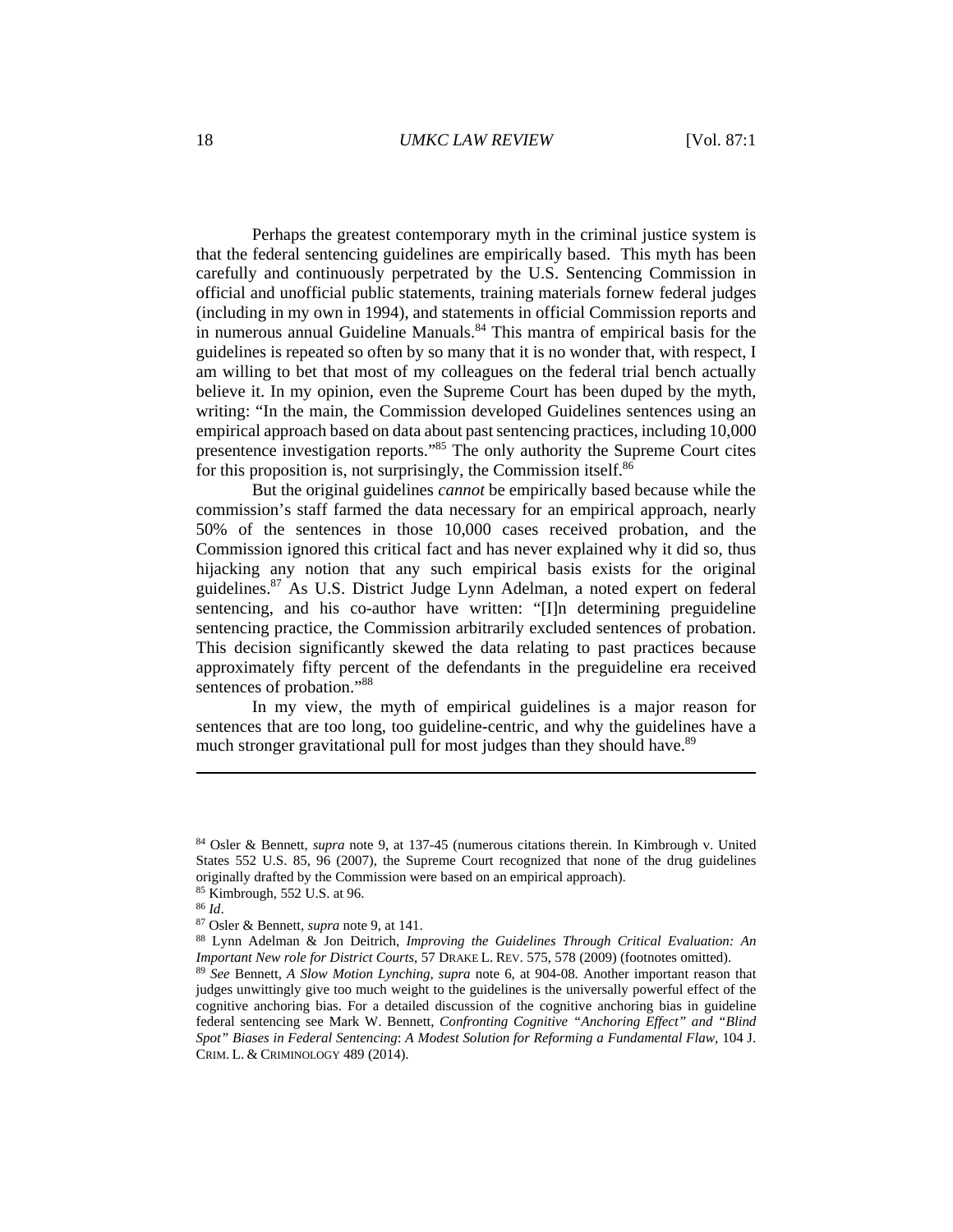Perhaps the greatest contemporary myth in the criminal justice system is that the federal sentencing guidelines are empirically based. This myth has been carefully and continuously perpetrated by the U.S. Sentencing Commission in official and unofficial public statements, training materials fornew federal judges (including in my own in 1994), and statements in official Commission reports and in numerous annual Guideline Manuals.<sup>84</sup> This mantra of empirical basis for the guidelines is repeated so often by so many that it is no wonder that, with respect, I am willing to bet that most of my colleagues on the federal trial bench actually believe it. In my opinion, even the Supreme Court has been duped by the myth, writing: "In the main, the Commission developed Guidelines sentences using an empirical approach based on data about past sentencing practices, including 10,000 presentence investigation reports."<sup>85</sup> The only authority the Supreme Court cites for this proposition is, not surprisingly, the Commission itself.<sup>86</sup>

But the original guidelines *cannot* be empirically based because while the commission's staff farmed the data necessary for an empirical approach, nearly 50% of the sentences in those 10,000 cases received probation, and the Commission ignored this critical fact and has never explained why it did so, thus hijacking any notion that any such empirical basis exists for the original guidelines.87 As U.S. District Judge Lynn Adelman, a noted expert on federal sentencing, and his co-author have written: "[I]n determining preguideline sentencing practice, the Commission arbitrarily excluded sentences of probation. This decision significantly skewed the data relating to past practices because approximately fifty percent of the defendants in the preguideline era received sentences of probation."88

In my view, the myth of empirical guidelines is a major reason for sentences that are too long, too guideline-centric, and why the guidelines have a much stronger gravitational pull for most judges than they should have.<sup>89</sup>

<sup>85</sup> Kimbrough, 552 U.S. at 96.<br><sup>86</sup> *Id.* 

<sup>84</sup> Osler & Bennett, *supra* note 9, at 137-45 (numerous citations therein. In Kimbrough v. United States 552 U.S. 85, 96 (2007), the Supreme Court recognized that none of the drug guidelines originally drafted by the Commission were based on an empirical approach).

<sup>&</sup>lt;sup>87</sup> Osler & Bennett, *supra* note 9, at 141.<br><sup>88</sup> Lynn Adelman & Jon Deitrich, *Improving the Guidelines Through Critical Evaluation: An Important New role for District Courts*, 57 DRAKE L. REV. 575, 578 (2009) (footnotes omitted). 89 *See* Bennett, *A Slow Motion Lynching*, *supra* note 6, at 904-08. Another important reason that

judges unwittingly give too much weight to the guidelines is the universally powerful effect of the cognitive anchoring bias. For a detailed discussion of the cognitive anchoring bias in guideline federal sentencing see Mark W. Bennett, *Confronting Cognitive "Anchoring Effect" and "Blind Spot" Biases in Federal Sentencing*: *A Modest Solution for Reforming a Fundamental Flaw*, 104 J. CRIM. L. & CRIMINOLOGY 489 (2014).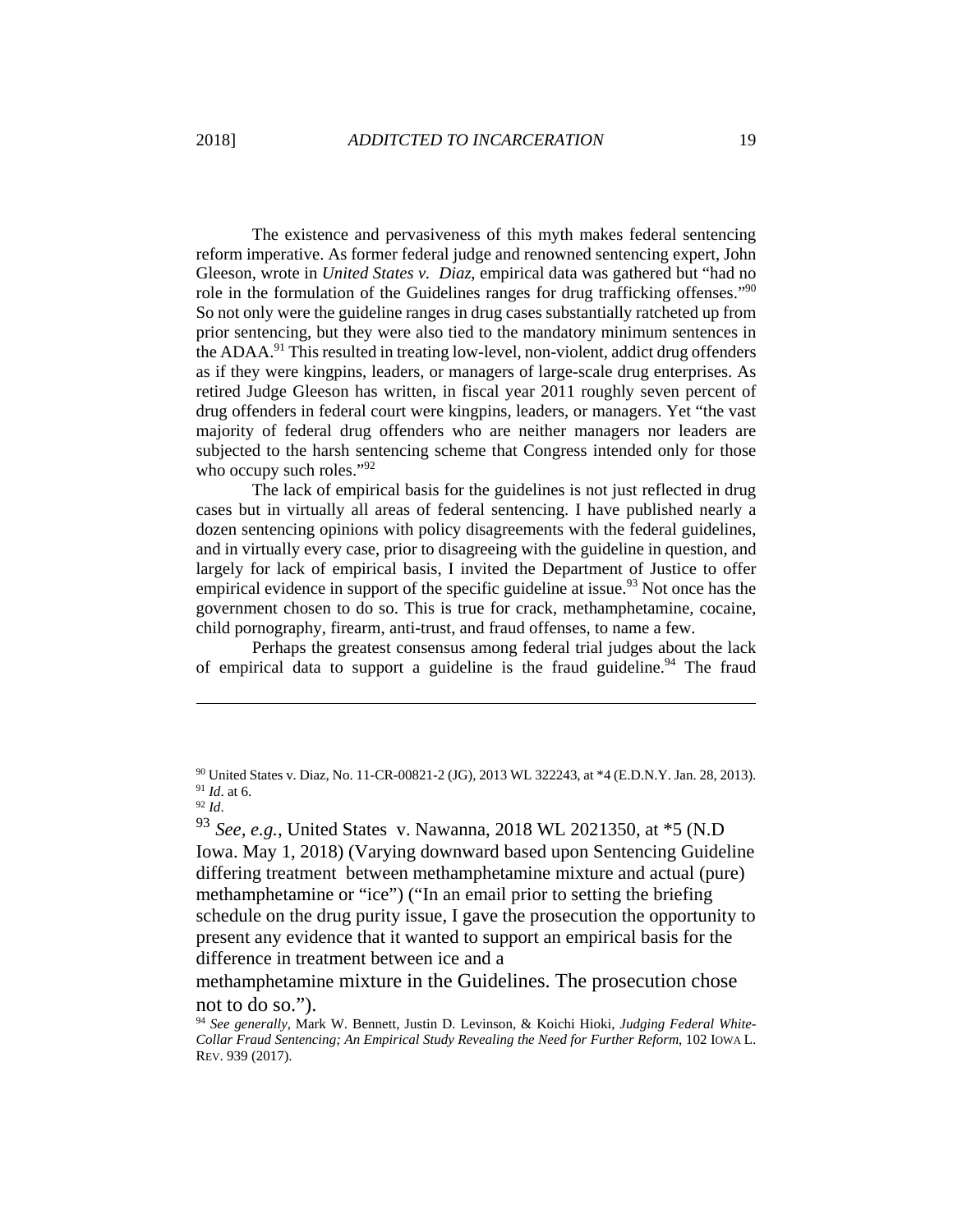The existence and pervasiveness of this myth makes federal sentencing reform imperative. As former federal judge and renowned sentencing expert, John Gleeson, wrote in *United States v. Diaz*, empirical data was gathered but "had no role in the formulation of the Guidelines ranges for drug trafficking offenses."<sup>90</sup> So not only were the guideline ranges in drug cases substantially ratcheted up from prior sentencing, but they were also tied to the mandatory minimum sentences in the ADAA.91 This resulted in treating low-level, non-violent, addict drug offenders as if they were kingpins, leaders, or managers of large-scale drug enterprises. As retired Judge Gleeson has written, in fiscal year 2011 roughly seven percent of drug offenders in federal court were kingpins, leaders, or managers. Yet "the vast majority of federal drug offenders who are neither managers nor leaders are subjected to the harsh sentencing scheme that Congress intended only for those who occupy such roles."<sup>92</sup>

The lack of empirical basis for the guidelines is not just reflected in drug cases but in virtually all areas of federal sentencing. I have published nearly a dozen sentencing opinions with policy disagreements with the federal guidelines, and in virtually every case, prior to disagreeing with the guideline in question, and largely for lack of empirical basis, I invited the Department of Justice to offer empirical evidence in support of the specific guideline at issue.<sup>93</sup> Not once has the government chosen to do so. This is true for crack, methamphetamine, cocaine, child pornography, firearm, anti-trust, and fraud offenses, to name a few.

Perhaps the greatest consensus among federal trial judges about the lack of empirical data to support a guideline is the fraud guideline.<sup>94</sup> The fraud

 $\overline{a}$ 

## methamphetamine mixture in the Guidelines. The prosecution chose not to do so.").

<sup>90</sup> United States v. Diaz, No. 11-CR-00821-2 (JG), 2013 WL 322243, at \*4 (E.D.N.Y. Jan. 28, 2013). 91 *Id*. at 6. 92 *Id*.

<sup>93</sup> *See, e.g.*, United States v. Nawanna, 2018 WL 2021350, at \*5 (N.D Iowa. May 1, 2018) (Varying downward based upon Sentencing Guideline differing treatment between methamphetamine mixture and actual (pure) methamphetamine or "ice") ("In an email prior to setting the briefing schedule on the drug purity issue, I gave the prosecution the opportunity to present any evidence that it wanted to support an empirical basis for the difference in treatment between ice and a

<sup>94</sup> *See generally*, Mark W. Bennett, Justin D. Levinson, & Koichi Hioki, *Judging Federal White-Collar Fraud Sentencing; An Empirical Study Revealing the Need for Further Reform*, 102 IOWA L. REV. 939 (2017).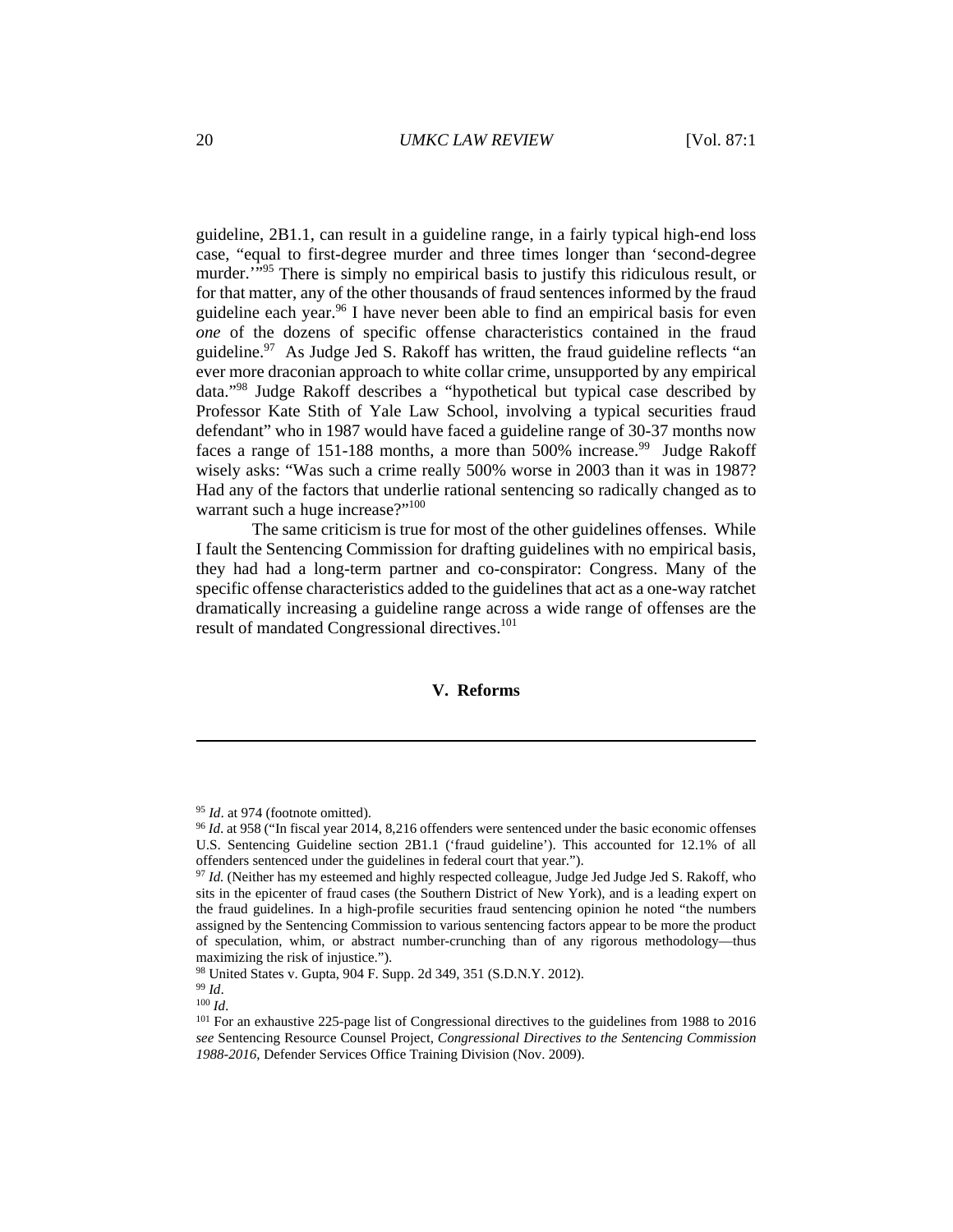guideline, 2B1.1, can result in a guideline range, in a fairly typical high-end loss case, "equal to first-degree murder and three times longer than 'second-degree murder."<sup>95</sup> There is simply no empirical basis to justify this ridiculous result, or for that matter, any of the other thousands of fraud sentences informed by the fraud guideline each year.<sup>96</sup> I have never been able to find an empirical basis for even *one* of the dozens of specific offense characteristics contained in the fraud guideline.<sup>97</sup> As Judge Jed S. Rakoff has written, the fraud guideline reflects "an ever more draconian approach to white collar crime, unsupported by any empirical data."98 Judge Rakoff describes a "hypothetical but typical case described by Professor Kate Stith of Yale Law School, involving a typical securities fraud defendant" who in 1987 would have faced a guideline range of 30-37 months now faces a range of 151-188 months, a more than 500% increase.<sup>99</sup> Judge Rakoff wisely asks: "Was such a crime really 500% worse in 2003 than it was in 1987? Had any of the factors that underlie rational sentencing so radically changed as to warrant such a huge increase?"<sup>100</sup>

The same criticism is true for most of the other guidelines offenses. While I fault the Sentencing Commission for drafting guidelines with no empirical basis, they had had a long-term partner and co-conspirator: Congress. Many of the specific offense characteristics added to the guidelines that act as a one-way ratchet dramatically increasing a guideline range across a wide range of offenses are the result of mandated Congressional directives.<sup>101</sup>

## **V. Reforms**

<sup>95</sup> *Id*. at 974 (footnote omitted). 96 *Id*. at 958 ("In fiscal year 2014, 8,216 offenders were sentenced under the basic economic offenses U.S. Sentencing Guideline section 2B1.1 ('fraud guideline'). This accounted for 12.1% of all offenders sentenced under the guidelines in federal court that year.").

<sup>97</sup> *Id.* (Neither has my esteemed and highly respected colleague, Judge Jed Judge Jed S. Rakoff, who sits in the epicenter of fraud cases (the Southern District of New York), and is a leading expert on the fraud guidelines. In a high-profile securities fraud sentencing opinion he noted "the numbers assigned by the Sentencing Commission to various sentencing factors appear to be more the product of speculation, whim, or abstract number-crunching than of any rigorous methodology—thus maximizing the risk of injustice.").

<sup>98</sup> United States v. Gupta, 904 F. Supp. 2d 349, 351 (S.D.N.Y. 2012).<br><sup>99</sup> *Id.* <sup>100</sup> *Id.* 100 *Id.* 100 *Id.* 101 For an exhaustive 225-page list of Congressional directives to the guidelines from 1988 to 2016 *see* Sentencing Resource Counsel Project, *Congressional Directives to the Sentencing Commission 1988-2016*, Defender Services Office Training Division (Nov. 2009).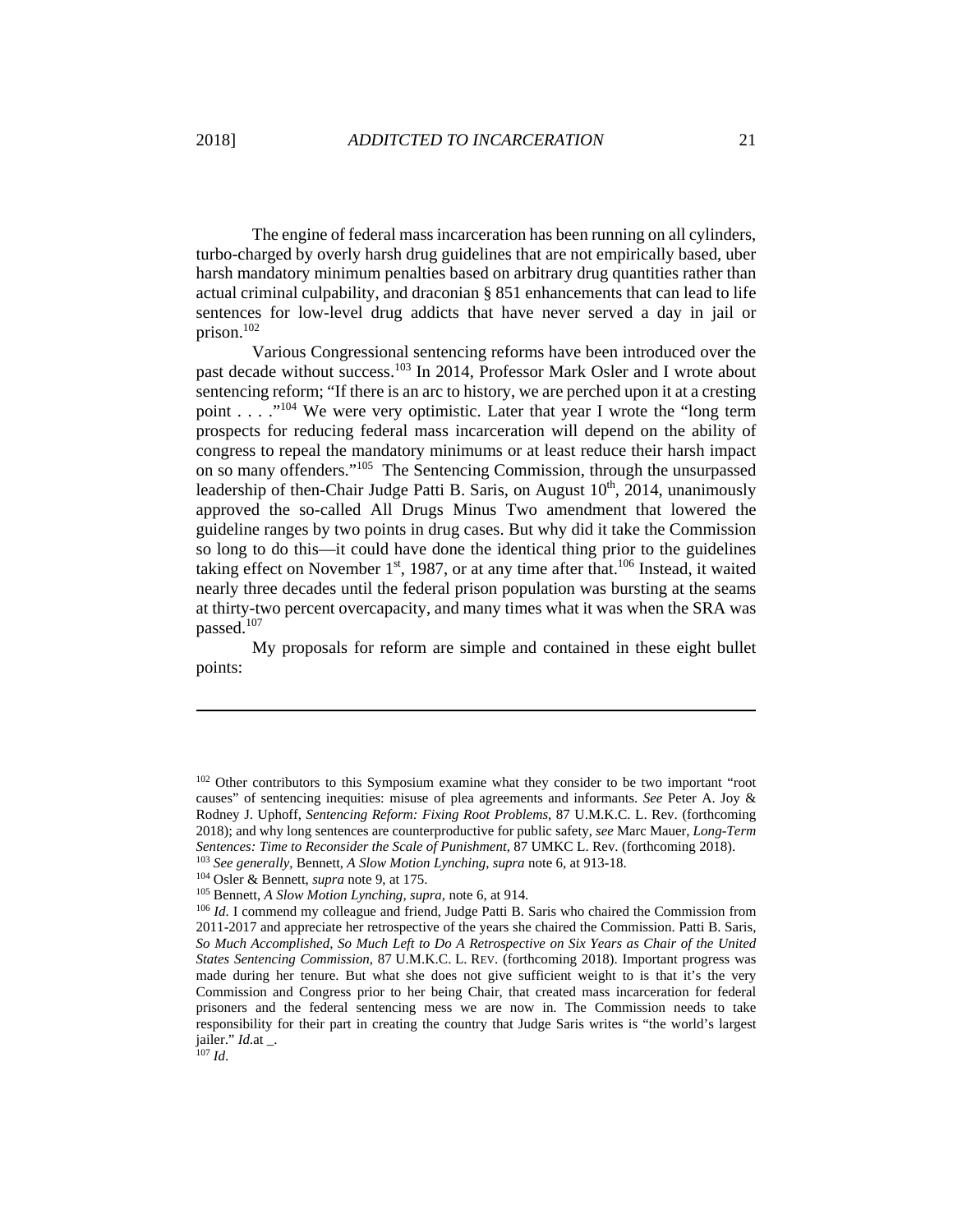The engine of federal mass incarceration has been running on all cylinders, turbo-charged by overly harsh drug guidelines that are not empirically based, uber harsh mandatory minimum penalties based on arbitrary drug quantities rather than actual criminal culpability, and draconian § 851 enhancements that can lead to life sentences for low-level drug addicts that have never served a day in jail or prison. $102$ 

Various Congressional sentencing reforms have been introduced over the past decade without success.<sup>103</sup> In 2014, Professor Mark Osler and I wrote about sentencing reform; "If there is an arc to history, we are perched upon it at a cresting point . . . . "<sup>104</sup> We were very optimistic. Later that year I wrote the "long term" prospects for reducing federal mass incarceration will depend on the ability of congress to repeal the mandatory minimums or at least reduce their harsh impact on so many offenders."<sup>105</sup> The Sentencing Commission, through the unsurpassed leadership of then-Chair Judge Patti B. Saris, on August  $10<sup>th</sup>$ , 2014, unanimously approved the so-called All Drugs Minus Two amendment that lowered the guideline ranges by two points in drug cases. But why did it take the Commission so long to do this—it could have done the identical thing prior to the guidelines taking effect on November  $1<sup>st</sup>$ , 1987, or at any time after that.<sup>106</sup> Instead, it waited nearly three decades until the federal prison population was bursting at the seams at thirty-two percent overcapacity, and many times what it was when the SRA was passed.<sup>107</sup>

My proposals for reform are simple and contained in these eight bullet points:

<sup>&</sup>lt;sup>102</sup> Other contributors to this Symposium examine what they consider to be two important "root causes" of sentencing inequities: misuse of plea agreements and informants. *See* Peter A. Joy & Rodney J. Uphoff, *Sentencing Reform: Fixing Root Problems*, 87 U.M.K.C. L. Rev. (forthcoming 2018); and why long sentences are counterproductive for public safety, *see* Marc Mauer, *Long-Term*  Sentences: Time to Reconsider the Scale of Punishment, 87 UMKC L. Rev. (forthcoming 2018).<br><sup>103</sup> See generally, Bennett, A Slow Motion Lynching, supra note 6, at 913-18.<br><sup>104</sup> Osler & Bennett, *supra* note 9, at 175.<br><sup>105</sup>

<sup>2011-2017</sup> and appreciate her retrospective of the years she chaired the Commission. Patti B. Saris, *So Much Accomplished, So Much Left to Do A Retrospective on Six Years as Chair of the United States Sentencing Commission*, 87 U.M.K.C. L. REV. (forthcoming 2018). Important progress was made during her tenure. But what she does not give sufficient weight to is that it's the very Commission and Congress prior to her being Chair, that created mass incarceration for federal prisoners and the federal sentencing mess we are now in. The Commission needs to take responsibility for their part in creating the country that Judge Saris writes is "the world's largest jailer." *Id*.at \_. 107 *Id*.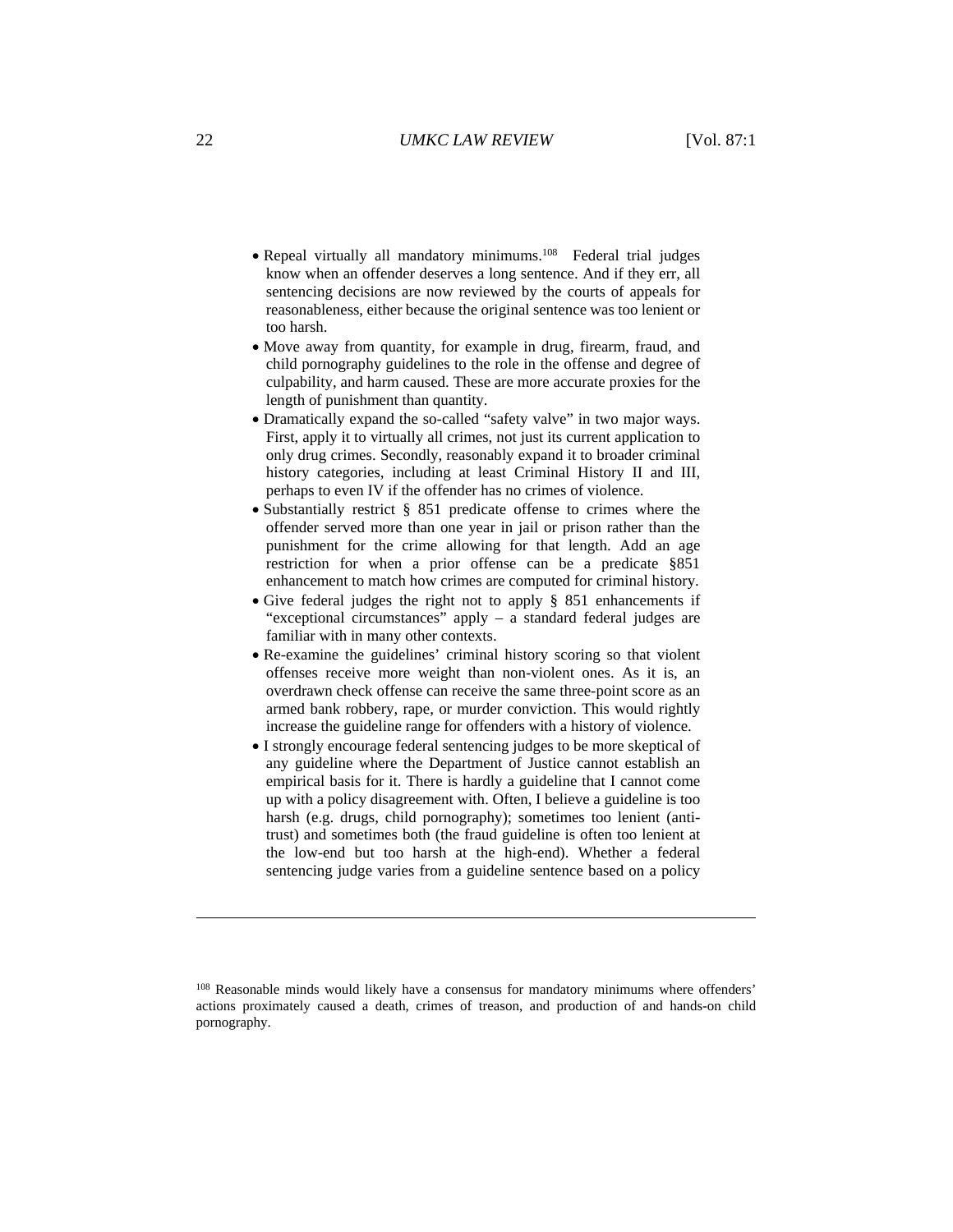- Repeal virtually all mandatory minimums.<sup>108</sup> Federal trial judges know when an offender deserves a long sentence. And if they err, all sentencing decisions are now reviewed by the courts of appeals for reasonableness, either because the original sentence was too lenient or too harsh.
- Move away from quantity, for example in drug, firearm, fraud, and child pornography guidelines to the role in the offense and degree of culpability, and harm caused. These are more accurate proxies for the length of punishment than quantity.
- Dramatically expand the so-called "safety valve" in two major ways. First, apply it to virtually all crimes, not just its current application to only drug crimes. Secondly, reasonably expand it to broader criminal history categories, including at least Criminal History II and III, perhaps to even IV if the offender has no crimes of violence.
- Substantially restrict § 851 predicate offense to crimes where the offender served more than one year in jail or prison rather than the punishment for the crime allowing for that length. Add an age restriction for when a prior offense can be a predicate §851 enhancement to match how crimes are computed for criminal history.
- Give federal judges the right not to apply § 851 enhancements if "exceptional circumstances" apply – a standard federal judges are familiar with in many other contexts.
- Re-examine the guidelines' criminal history scoring so that violent offenses receive more weight than non-violent ones. As it is, an overdrawn check offense can receive the same three-point score as an armed bank robbery, rape, or murder conviction. This would rightly increase the guideline range for offenders with a history of violence.
- I strongly encourage federal sentencing judges to be more skeptical of any guideline where the Department of Justice cannot establish an empirical basis for it. There is hardly a guideline that I cannot come up with a policy disagreement with. Often, I believe a guideline is too harsh (e.g. drugs, child pornography); sometimes too lenient (antitrust) and sometimes both (the fraud guideline is often too lenient at the low-end but too harsh at the high-end). Whether a federal sentencing judge varies from a guideline sentence based on a policy

<sup>108</sup> Reasonable minds would likely have a consensus for mandatory minimums where offenders' actions proximately caused a death, crimes of treason, and production of and hands-on child pornography.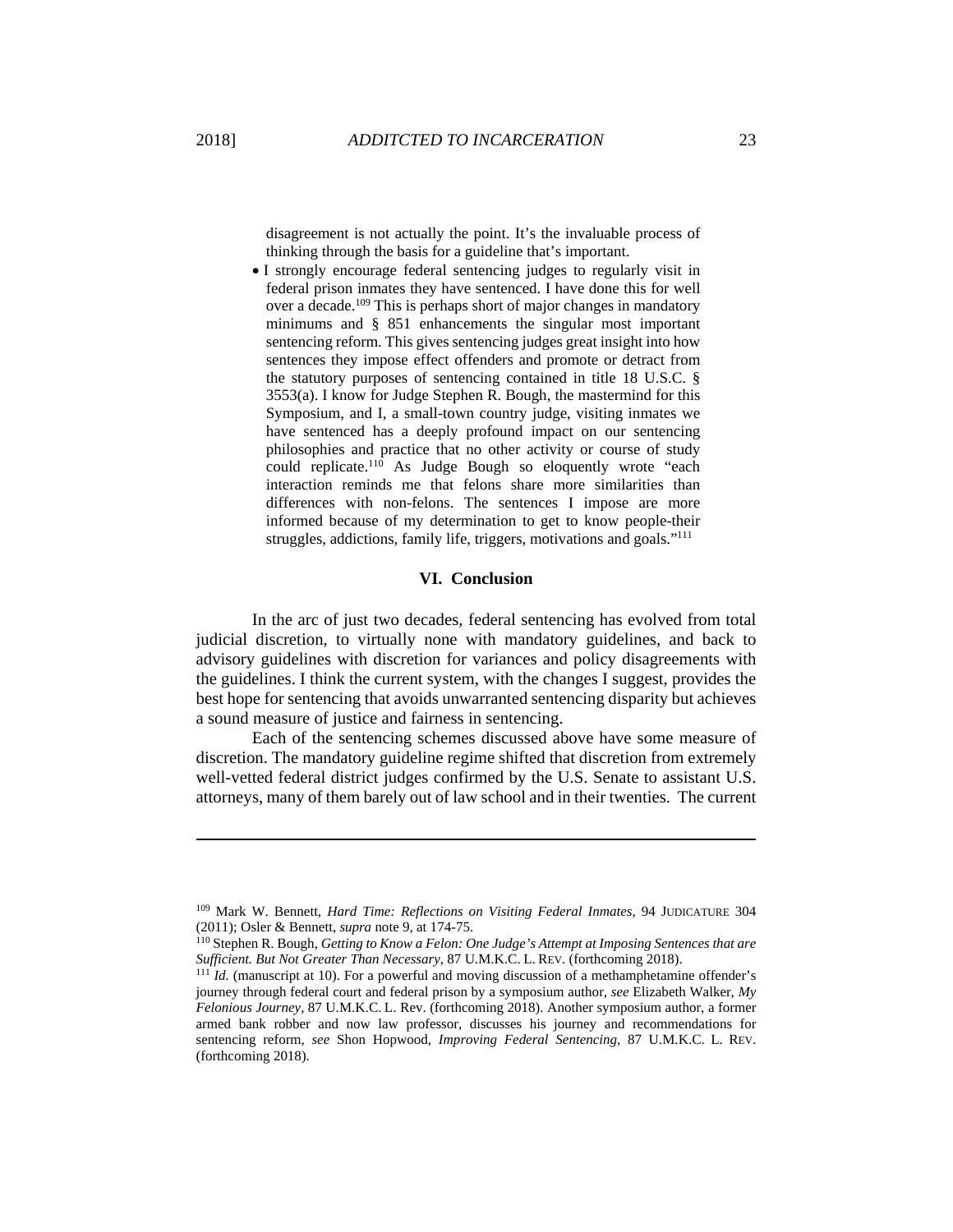disagreement is not actually the point. It's the invaluable process of thinking through the basis for a guideline that's important.

 I strongly encourage federal sentencing judges to regularly visit in federal prison inmates they have sentenced. I have done this for well over a decade.<sup>109</sup> This is perhaps short of major changes in mandatory minimums and § 851 enhancements the singular most important sentencing reform. This gives sentencing judges great insight into how sentences they impose effect offenders and promote or detract from the statutory purposes of sentencing contained in title 18 U.S.C. § 3553(a). I know for Judge Stephen R. Bough, the mastermind for this Symposium, and I, a small-town country judge, visiting inmates we have sentenced has a deeply profound impact on our sentencing philosophies and practice that no other activity or course of study could replicate.<sup>110</sup> As Judge Bough so eloquently wrote "each interaction reminds me that felons share more similarities than differences with non-felons. The sentences I impose are more informed because of my determination to get to know people-their struggles, addictions, family life, triggers, motivations and goals."<sup>111</sup>

#### **VI. Conclusion**

In the arc of just two decades, federal sentencing has evolved from total judicial discretion, to virtually none with mandatory guidelines, and back to advisory guidelines with discretion for variances and policy disagreements with the guidelines. I think the current system, with the changes I suggest, provides the best hope for sentencing that avoids unwarranted sentencing disparity but achieves a sound measure of justice and fairness in sentencing.

Each of the sentencing schemes discussed above have some measure of discretion. The mandatory guideline regime shifted that discretion from extremely well-vetted federal district judges confirmed by the U.S. Senate to assistant U.S. attorneys, many of them barely out of law school and in their twenties. The current

<sup>109</sup> Mark W. Bennett, *Hard Time: Reflections on Visiting Federal Inmates,* 94 JUDICATURE 304

<sup>(2011);</sup> Osler & Bennett, *supra* note 9, at 174-75.<br><sup>110</sup> Stephen R. Bough, *Getting to Know a Felon: One Judge's Attempt at Imposing Sentences that are* 

*Sufficient. But Not Greater Than Necessary*, 87 U.M.K.C. L. REV. (forthcoming 2018). <sup>111</sup> *Id.* (manuscript at 10). For a powerful and moving discussion of a methamphetamine offender's journey through federal court and federal prison by a symposium author, *see* Elizabeth Walker, *My Felonious Journey*, 87 U.M.K.C. L. Rev. (forthcoming 2018). Another symposium author, a former armed bank robber and now law professor, discusses his journey and recommendations for sentencing reform, *see* Shon Hopwood, *Improving Federal Sentencing*, 87 U.M.K.C. L. REV. (forthcoming 2018).